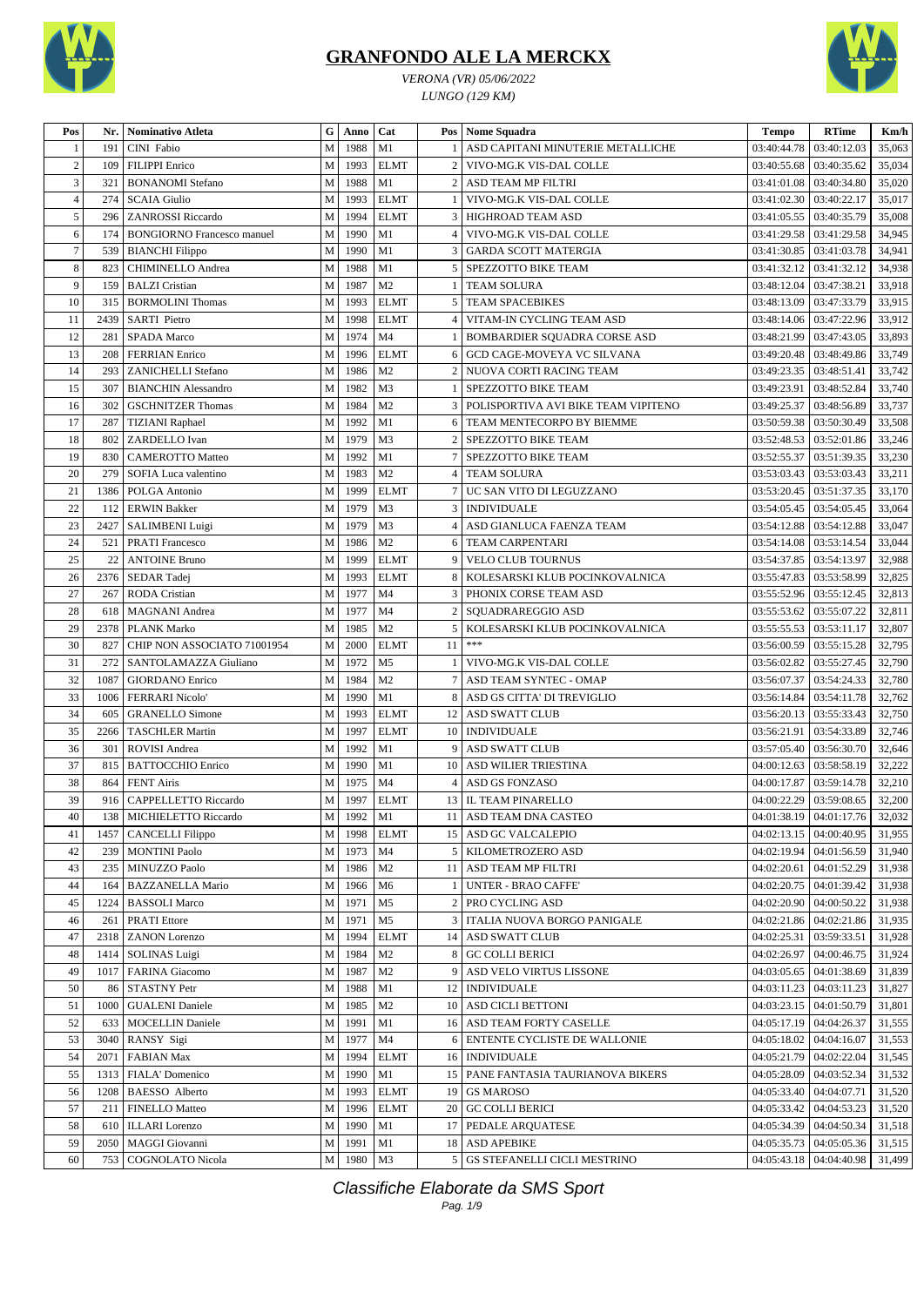

*VERONA (VR) 05/06/2022 LUNGO (129 KM)*



| Pos            | Nr.  | <b>Nominativo Atleta</b>          | ${\bf G}$   | Anno    | Cat            |                 | Pos   Nome Squadra                   | <b>Tempo</b>                  | <b>RTime</b>              | Km/h   |
|----------------|------|-----------------------------------|-------------|---------|----------------|-----------------|--------------------------------------|-------------------------------|---------------------------|--------|
| -1             | 191  | CINI Fabio                        | M           | 1988    | M1             |                 | ASD CAPITANI MINUTERIE METALLICHE    | 03:40:44.78                   | 03:40:12.03               | 35,063 |
| $\sqrt{2}$     | 109  | <b>FILIPPI</b> Enrico             | M           | 1993    | <b>ELMT</b>    | $\overline{2}$  | VIVO-MG.K VIS-DAL COLLE              | 03:40:55.68                   | 03:40:35.62               | 35,034 |
| 3              | 321  | <b>BONANOMI</b> Stefano           | M           | 1988    | M1             | $\overline{c}$  | ASD TEAM MP FILTRI                   | 03:41:01.08                   | 03:40:34.80               | 35,020 |
| $\overline{4}$ | 274  | <b>SCAIA Giulio</b>               | M           | 1993    | <b>ELMT</b>    |                 | VIVO-MG.K VIS-DAL COLLE              | 03:41:02.30                   | 03:40:22.17               | 35,017 |
| 5              | 296  | <b>ZANROSSI</b> Riccardo          | M           | 1994    | <b>ELMT</b>    | 3               | HIGHROAD TEAM ASD                    | 03:41:05.55                   | 03:40:35.79               | 35,008 |
| 6              | 174  | <b>BONGIORNO Francesco manuel</b> | M           | 1990    | M1             | $\overline{4}$  | VIVO-MG.K VIS-DAL COLLE              | 03:41:29.58                   | 03:41:29.58               | 34,945 |
| 7              | 539  | <b>BIANCHI</b> Filippo            | M           | 1990    | M1             | 3               | <b>GARDA SCOTT MATERGIA</b>          | 03:41:30.85                   | 03:41:03.78               | 34,941 |
| 8              | 823  | CHIMINELLO Andrea                 | M           | 1988    | M1             | 5               | SPEZZOTTO BIKE TEAM                  | 03:41:32.12                   | 03:41:32.12               | 34,938 |
| 9              | 159  | <b>BALZI</b> Cristian             | M           | 1987    | M <sub>2</sub> |                 | <b>TEAM SOLURA</b>                   | 03:48:12.04                   | 03:47:38.21               | 33,918 |
| 10             | 315  | <b>BORMOLINI Thomas</b>           | M           | 1993    | <b>ELMT</b>    | 5               | <b>TEAM SPACEBIKES</b>               | 03:48:13.09                   | 03:47:33.79               | 33,915 |
| 11             | 2439 | <b>SARTI</b> Pietro               | M           | 1998    | <b>ELMT</b>    | 4               | VITAM-IN CYCLING TEAM ASD            | 03:48:14.06                   | 03:47:22.96               | 33,912 |
| 12             | 281  | SPADA Marco                       | M           | 1974    | M <sub>4</sub> |                 | BOMBARDIER SQUADRA CORSE ASD         | 03:48:21.99                   | 03:47:43.05               | 33,893 |
| 13             | 208  | <b>FERRIAN</b> Enrico             | M           | 1996    | <b>ELMT</b>    | 6               | GCD CAGE-MOVEYA VC SILVANA           | 03:49:20.48                   | 03:48:49.86               | 33,749 |
| 14             | 293  | ZANICHELLI Stefano                | M           | 1986    | M <sub>2</sub> | $\overline{c}$  | NUOVA CORTI RACING TEAM              | 03:49:23.35                   | 03:48:51.41               | 33,742 |
| 15             | 307  | <b>BIANCHIN Alessandro</b>        | M           | 1982    | M <sub>3</sub> |                 | SPEZZOTTO BIKE TEAM                  | 03:49:23.91                   | 03:48:52.84               | 33,740 |
| 16             | 302  | <b>GSCHNITZER Thomas</b>          | M           | 1984    | M <sub>2</sub> | 3               | POLISPORTIVA AVI BIKE TEAM VIPITENO  | 03:49:25.37                   | 03:48:56.89               | 33,737 |
| 17             | 287  | <b>TIZIANI</b> Raphael            | M           | 1992    | M1             | 6               | TEAM MENTECORPO BY BIEMME            | 03:50:59.38                   | 03:50:30.49               | 33,508 |
| 18             | 802  | ZARDELLO Ivan                     | M           | 1979    | M <sub>3</sub> | $\overline{2}$  | SPEZZOTTO BIKE TEAM                  | 03:52:48.53                   | 03:52:01.86               | 33,246 |
| 19             | 830  | <b>CAMEROTTO Matteo</b>           | M           | 1992    | M1             |                 | SPEZZOTTO BIKE TEAM                  | 03:52:55.37                   | 03:51:39.35               | 33,230 |
| 20             | 279  | SOFIA Luca valentino              | M           | 1983    | M <sub>2</sub> | $\overline{4}$  | <b>TEAM SOLURA</b>                   | 03:53:03.43                   | 03:53:03.43               | 33,211 |
| 21             | 1386 | POLGA Antonio                     | M           | 1999    | <b>ELMT</b>    | $\overline{7}$  | UC SAN VITO DI LEGUZZANO             | 03:53:20.45                   | 03:51:37.35               | 33,170 |
| 22             | 112  | <b>ERWIN Bakker</b>               | M           | 1979    | M <sub>3</sub> | 3               | <b>INDIVIDUALE</b>                   | 03:54:05.45                   | 03:54:05.45               | 33,064 |
| 23             | 2427 | <b>SALIMBENI Luigi</b>            | M           | 1979    | M <sub>3</sub> | $\overline{4}$  | ASD GIANLUCA FAENZA TEAM             | 03:54:12.88                   | 03:54:12.88               | 33,047 |
| 24             | 521  | <b>PRATI Francesco</b>            | M           | 1986    | M <sub>2</sub> | 6               | TEAM CARPENTARI                      | 03:54:14.08                   | 03:53:14.54               | 33,044 |
| 25             | 22   | <b>ANTOINE Bruno</b>              | M           | 1999    | <b>ELMT</b>    | 9               | <b>VELO CLUB TOURNUS</b>             | 03:54:37.85                   | 03:54:13.97               | 32,988 |
| 26             | 2376 | SEDAR Tadej                       | M           | 1993    | <b>ELMT</b>    | 8               | KOLESARSKI KLUB POCINKOVALNICA       | 03:55:47.83                   | 03:53:58.99               | 32,825 |
| 27             | 267  | <b>RODA</b> Cristian              | M           | 1977    | M <sub>4</sub> | 3               | PHONIX CORSE TEAM ASD                | 03:55:52.96                   | 03:55:12.45               | 32,813 |
| 28             | 618  | MAGNANI Andrea                    | M           | 1977    | M <sub>4</sub> | $\overline{2}$  | SQUADRAREGGIO ASD                    | 03:55:53.62                   | 03:55:07.22               | 32,811 |
| 29             | 2378 | <b>PLANK Marko</b>                | M           | 1985    | M <sub>2</sub> | 5               | KOLESARSKI KLUB POCINKOVALNICA       | 03:55:55.53                   | 03:53:11.17               | 32,807 |
| 30             | 827  | CHIP NON ASSOCIATO 71001954       | M           | 2000    | <b>ELMT</b>    | 11              | $***$                                | 03:56:00.59                   | 03:55:15.28               | 32,795 |
| 31             | 272  | SANTOLAMAZZA Giuliano             | M           | 1972    | M <sub>5</sub> |                 | VIVO-MG.K VIS-DAL COLLE              | 03:56:02.82                   | 03:55:27.45               | 32,790 |
| 32             | 1087 | <b>GIORDANO</b> Enrico            | M           | 1984    | M <sub>2</sub> |                 | ASD TEAM SYNTEC - OMAP               | 03:56:07.37                   | 03:54:24.33               | 32,780 |
| 33             | 1006 | <b>FERRARI Nicolo'</b>            | M           | 1990    | M1             | 8               | ASD GS CITTA' DI TREVIGLIO           | 03:56:14.84                   | 03:54:11.78               | 32,762 |
| 34             | 605  | <b>GRANELLO Simone</b>            | M           | 1993    | <b>ELMT</b>    | 12              | ASD SWATT CLUB                       | 03:56:20.13                   | 03:55:33.43               | 32,750 |
| 35             | 2266 | <b>TASCHLER Martin</b>            | M           | 1997    | <b>ELMT</b>    |                 | 10 INDIVIDUALE                       | 03:56:21.91                   | 03:54:33.89               | 32,746 |
| 36             | 301  | <b>ROVISI Andrea</b>              | M           | 1992    | M1             | 9               | <b>ASD SWATT CLUB</b>                | 03:57:05.40                   | 03:56:30.70               | 32,646 |
| 37             | 815  | <b>BATTOCCHIO Enrico</b>          | M           | 1990    | M1             | 10              | <b>ASD WILIER TRIESTINA</b>          | 04:00:12.63                   | 03:58:58.19               | 32,222 |
| 38             | 864  | <b>FENT Airis</b>                 | M           | 1975    | M <sub>4</sub> | $\overline{4}$  | ASD GS FONZASO                       | 04:00:17.87                   | 03:59:14.78               | 32,210 |
| 39             | 916  | CAPPELLETTO Riccardo              | M           | 1997    | <b>ELMT</b>    |                 | 13   IL TEAM PINARELLO               | 04:00:22.29                   | 03:59:08.65               | 32,200 |
| 40             |      | 138 MICHIELETTO Riccardo          | M           | 1992 M1 |                |                 | 11 ASD TEAM DNA CASTEO               |                               | 04:01:38.19   04:01:17.76 | 32,032 |
| 41             | 1457 | <b>CANCELLI Filippo</b>           | $\mathbf M$ | 1998    | <b>ELMT</b>    |                 | 15 ASD GC VALCALEPIO                 | 04:02:13.15   04:00:40.95     |                           | 31,955 |
| 42             | 239  | <b>MONTINI Paolo</b>              | M           | 1973    | M <sub>4</sub> | $5\phantom{.0}$ | KILOMETROZERO ASD                    | 04:02:19.94                   | 04:01:56.59               | 31,940 |
| 43             | 235  | MINUZZO Paolo                     | M           | 1986    | M <sub>2</sub> | 11 <sup>1</sup> | ASD TEAM MP FILTRI                   | 04:02:20.61                   | 04:01:52.29               | 31,938 |
| 44             | 164  | <b>BAZZANELLA Mario</b>           | M           | 1966    | M6             |                 | <b>UNTER - BRAO CAFFE'</b>           | 04:02:20.75                   | 04:01:39.42               | 31,938 |
| 45             | 1224 | <b>BASSOLI Marco</b>              | M           | 1971    | M <sub>5</sub> | 2               | PRO CYCLING ASD                      | 04:02:20.90                   | 04:00:50.22               | 31,938 |
| 46             | 261  | <b>PRATI</b> Ettore               | M           | 1971    | M5             | 3               | <b>ITALIA NUOVA BORGO PANIGALE</b>   |                               | 04:02:21.86   04:02:21.86 | 31,935 |
| 47             | 2318 | <b>ZANON</b> Lorenzo              | M           | 1994    | <b>ELMT</b>    |                 | 14 ASD SWATT CLUB                    | 04:02:25.31   03:59:33.51     |                           | 31,928 |
| 48             | 1414 | <b>SOLINAS Luigi</b>              | M           | 1984    | M <sub>2</sub> | 8               | <b>GC COLLI BERICI</b>               | 04:02:26.97                   | 04:00:46.75               | 31,924 |
| 49             | 1017 | FARINA Giacomo                    | M           | 1987    | M <sub>2</sub> | 9               | ASD VELO VIRTUS LISSONE              | 04:03:05.65                   | 04:01:38.69               | 31,839 |
| 50             | 86   | <b>STASTNY Petr</b>               | M           | 1988    | M1             |                 | 12 INDIVIDUALE                       | $04:03:11.23$   $04:03:11.23$ |                           | 31,827 |
| 51             | 1000 | <b>GUALENI</b> Daniele            | M           | 1985    | M <sub>2</sub> |                 | 10 ASD CICLI BETTONI                 | 04:03:23.15                   | 04:01:50.79               | 31,801 |
| 52             | 633  | <b>MOCELLIN Daniele</b>           | M           | 1991    | M1             |                 | 16 ASD TEAM FORTY CASELLE            | 04:05:17.19                   | 04:04:26.37               | 31,555 |
| 53             | 3040 | RANSY Sigi                        | M           | 1977    | M <sub>4</sub> | 6               | ENTENTE CYCLISTE DE WALLONIE         | 04:05:18.02   04:04:16.07     |                           | 31,553 |
| 54             | 2071 | <b>FABIAN Max</b>                 | M           | 1994    | <b>ELMT</b>    |                 | 16   INDIVIDUALE                     | 04:05:21.79                   | 04:02:22.04               | 31,545 |
| 55             | 1313 | FIALA' Domenico                   | M           | 1990    | M1             |                 | 15   PANE FANTASIA TAURIANOVA BIKERS | 04:05:28.09                   | 04:03:52.34               | 31,532 |
| 56             | 1208 | <b>BAESSO</b> Alberto             | M           | 1993    | <b>ELMT</b>    | 19              | <b>GS MAROSO</b>                     | 04:05:33.40                   | 04:04:07.71               | 31,520 |
| 57             | 211  | <b>FINELLO Matteo</b>             | M           | 1996    | <b>ELMT</b>    |                 | 20 GC COLLI BERICI                   | 04:05:33.42                   | 04:04:53.23               | 31,520 |
| 58             | 610  | <b>ILLARI</b> Lorenzo             | M           | 1990    | M1             | 17              | PEDALE ARQUATESE                     | 04:05:34.39                   | 04:04:50.34               | 31,518 |
| 59             | 2050 | <b>MAGGI</b> Giovanni             | M           | 1991    | M <sub>1</sub> | 18              | <b>ASD APEBIKE</b>                   | 04:05:35.73   04:05:05.36     |                           | 31,515 |
| 60             | 753  | <b>COGNOLATO Nicola</b>           | M           | 1980    | M <sub>3</sub> | 5               | GS STEFANELLI CICLI MESTRINO         | 04:05:43.18 04:04:40.98       |                           | 31,499 |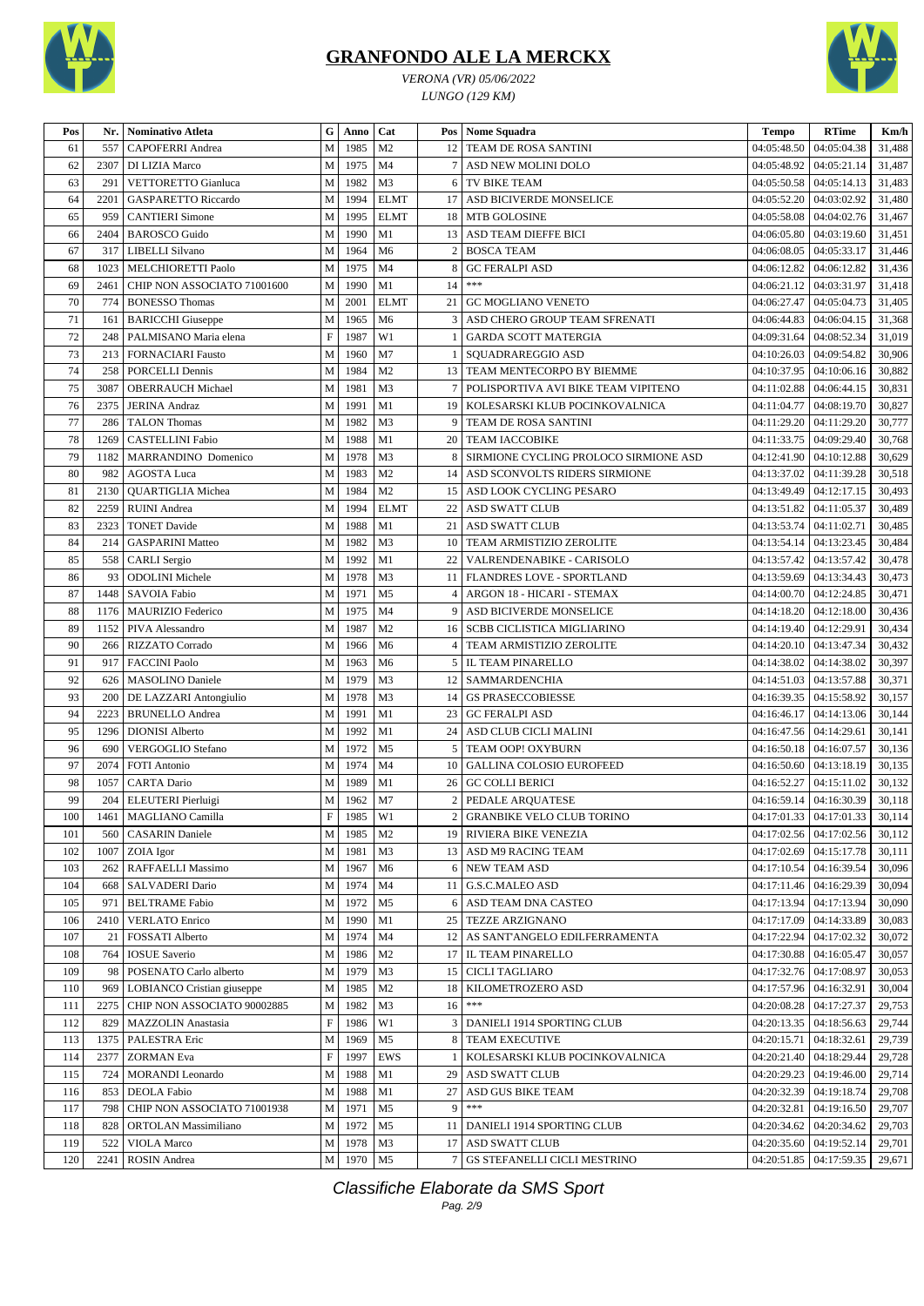



*VERONA (VR) 05/06/2022 LUNGO (129 KM)*

| Pos      | Nr.  | Nominativo Atleta           | G                         | Anno   | Cat                              |                | Pos   Nome Squadra                    | <b>Tempo</b>               | <b>RTime</b>                  | Km/h   |
|----------|------|-----------------------------|---------------------------|--------|----------------------------------|----------------|---------------------------------------|----------------------------|-------------------------------|--------|
| 61       | 557  | <b>CAPOFERRI</b> Andrea     | $\mathbf M$               | 1985   | M <sub>2</sub>                   |                | 12 TEAM DE ROSA SANTINI               | 04:05:48.50                | 04:05:04.38                   | 31,488 |
| 62       | 2307 | DI LIZIA Marco              | $\mathbf M$               | 1975   | M <sub>4</sub>                   |                | ASD NEW MOLINI DOLO                   | 04:05:48.92                | 04:05:21.14                   | 31,487 |
| 63       | 291  | <b>VETTORETTO Gianluca</b>  | M                         | 1982   | M3                               | 6              | TV BIKE TEAM                          | 04:05:50.58                | 04:05:14.13                   | 31,483 |
| 64       | 2201 | <b>GASPARETTO Riccardo</b>  | M                         | 1994   | <b>ELMT</b>                      | 17             | ASD BICIVERDE MONSELICE               | 04:05:52.20                | 04:03:02.92                   | 31,480 |
| 65       | 959  | <b>CANTIERI</b> Simone      | M                         | 1995   | <b>ELMT</b>                      | 18             | MTB GOLOSINE                          | 04:05:58.08                | 04:04:02.76                   | 31,467 |
| 66       | 2404 | <b>BAROSCO</b> Guido        | ${\bf M}$                 | 1990   | M1                               | 13             | ASD TEAM DIEFFE BICI                  | 04:06:05.80                | 04:03:19.60                   | 31,451 |
| 67       | 317  | LIBELLI Silvano             | M                         | 1964   | M <sub>6</sub>                   | $\overline{c}$ | <b>BOSCA TEAM</b>                     | 04:06:08.05                | 04:05:33.17                   | 31,446 |
| 68       | 1023 | MELCHIORETTI Paolo          | $\mathbf M$               | 1975   | M <sub>4</sub>                   | 8              | <b>GC FERALPI ASD</b>                 | 04:06:12.82                | 04:06:12.82                   | 31,436 |
| 69       | 2461 | CHIP NON ASSOCIATO 71001600 | M                         | 1990   | M1                               | 14             | $***$                                 | 04:06:21.12                | 04:03:31.97                   | 31,418 |
| 70       | 774  | <b>BONESSO Thomas</b>       | M                         | 2001   | <b>ELMT</b>                      | 21             | <b>GC MOGLIANO VENETO</b>             | 04:06:27.47                | 04:05:04.73                   | 31,405 |
| 71       | 161  | <b>BARICCHI</b> Giuseppe    | $\mathbf M$               | 1965   | M <sub>6</sub>                   | 3              | ASD CHERO GROUP TEAM SFRENATI         | 04:06:44.83                | 04:06:04.15                   | 31,368 |
| 72       | 248  | PALMISANO Maria elena       | $\boldsymbol{\mathrm{F}}$ | 1987   | W1                               | $\mathbf{1}$   | <b>GARDA SCOTT MATERGIA</b>           | 04:09:31.64                | 04:08:52.34                   | 31,019 |
| 73       | 213  | <b>FORNACIARI Fausto</b>    | M                         | 1960   | M7                               |                | SQUADRAREGGIO ASD                     | 04:10:26.03                | 04:09:54.82                   | 30,906 |
| 74       | 258  | <b>PORCELLI Dennis</b>      | $\mathbf M$               | 1984   | M <sub>2</sub>                   |                | 13   TEAM MENTECORPO BY BIEMME        | 04:10:37.95                | 04:10:06.16                   | 30,882 |
| 75       | 3087 | <b>OBERRAUCH Michael</b>    | ${\bf M}$                 | 1981   | M3                               | $\tau$         | POLISPORTIVA AVI BIKE TEAM VIPITENO   | 04:11:02.88                | 04:06:44.15                   | 30,831 |
| 76       | 2375 | <b>JERINA Andraz</b>        | $\mathbf M$               | 1991   | M1                               | 19             | KOLESARSKI KLUB POCINKOVALNICA        | 04:11:04.77                | 04:08:19.70                   | 30,827 |
| 77       | 286  | <b>TALON</b> Thomas         | M                         | 1982   | M3                               | 9              | TEAM DE ROSA SANTINI                  | 04:11:29.20                | 04:11:29.20                   | 30,777 |
| 78       | 1269 | <b>CASTELLINI Fabio</b>     | M                         | 1988   | M1                               |                | 20 TEAM IACCOBIKE                     | 04:11:33.75                | 04:09:29.40                   | 30,768 |
| 79       | 1182 | MARRANDINO Domenico         | M                         | 1978   | M <sub>3</sub>                   | 8              | SIRMIONE CYCLING PROLOCO SIRMIONE ASD | 04:12:41.90                | 04:10:12.88                   | 30,629 |
| 80       | 982  | <b>AGOSTA Luca</b>          | ${\bf M}$                 | 1983   | M <sub>2</sub>                   | 14             | ASD SCONVOLTS RIDERS SIRMIONE         | 04:13:37.02                | 04:11:39.28                   | 30,518 |
| 81       | 2130 | <b>QUARTIGLIA Michea</b>    | $\mathbf M$               | 1984   | M <sub>2</sub>                   | 15             | ASD LOOK CYCLING PESARO               | 04:13:49.49                | 04:12:17.15                   | 30,493 |
| 82       | 2259 | <b>RUINI</b> Andrea         | M                         | 1994   | <b>ELMT</b>                      | 22             | <b>ASD SWATT CLUB</b>                 | 04:13:51.82                | 04:11:05.37                   | 30,489 |
| 83       | 2323 | <b>TONET Davide</b>         | M                         | 1988   | M1                               | 21             | <b>ASD SWATT CLUB</b>                 | 04:13:53.74                | 04:11:02.71                   | 30,485 |
| 84       | 214  | <b>GASPARINI Matteo</b>     | M                         | 1982   | M <sub>3</sub>                   |                | 10   TEAM ARMISTIZIO ZEROLITE         | 04:13:54.14                | 04:13:23.45                   | 30,484 |
| 85       | 558  | <b>CARLI</b> Sergio         | М                         | 1992   | M1                               | 22             | VALRENDENABIKE - CARISOLO             | 04:13:57.42                | 04:13:57.42                   | 30,478 |
| 86       | 93   | <b>ODOLINI</b> Michele      | M                         | 1978   | M <sub>3</sub>                   |                | 11   FLANDRES LOVE - SPORTLAND        |                            | 04:13:34.43                   | 30,473 |
| 87       | 1448 | SAVOIA Fabio                | $\mathbf M$               | 1971   | M <sub>5</sub>                   | 4              | ARGON 18 - HICARI - STEMAX            | 04:13:59.69<br>04:14:00.70 | 04:12:24.85                   | 30,471 |
|          |      |                             |                           | 1975   |                                  |                |                                       |                            |                               |        |
| 88       | 1176 | <b>MAURIZIO Federico</b>    | ${\bf M}$                 |        | M4                               | 9              | ASD BICIVERDE MONSELICE               | 04:14:18.20                | 04:12:18.00                   | 30,436 |
| 89<br>90 | 1152 | PIVA Alessandro             | M                         | 1987   | M <sub>2</sub>                   | 16             | <b>SCBB CICLISTICA MIGLIARINO</b>     | 04:14:19.40                | 04:12:29.91                   | 30,434 |
| 91       | 266  | RIZZATO Corrado             | M                         | 1966   | M <sub>6</sub><br>M <sub>6</sub> | 4              | TEAM ARMISTIZIO ZEROLITE              | 04:14:20.10                | 04:13:47.34                   | 30,432 |
|          | 917  | <b>FACCINI Paolo</b>        | $\mathbf M$               | 1963   |                                  |                | 5   IL TEAM PINARELLO                 | 04:14:38.02                | 04:14:38.02                   | 30,397 |
| 92       | 626  | <b>MASOLINO</b> Daniele     | M                         | 1979   | M <sub>3</sub>                   |                | 12   SAMMARDENCHIA                    | 04:14:51.03                | 04:13:57.88                   | 30,371 |
| 93       | 200  | DE LAZZARI Antongiulio      | M                         | 1978   | M <sub>3</sub>                   | 14             | <b>GS PRASECCOBIESSE</b>              | 04:16:39.35                | 04:15:58.92                   | 30,157 |
| 94       | 2223 | <b>BRUNELLO Andrea</b>      | M                         | 1991   | M1                               | 23             | <b>GC FERALPI ASD</b>                 | 04:16:46.17                | 04:14:13.06                   | 30,144 |
| 95       | 1296 | <b>DIONISI</b> Alberto      | $\mathbf M$               | 1992   | M1                               | 24             | ASD CLUB CICLI MALINI                 | 04:16:47.56                | 04:14:29.61                   | 30,141 |
| 96       | 690  | <b>VERGOGLIO Stefano</b>    | ${\bf M}$                 | 1972   | M <sub>5</sub>                   | 5              | TEAM OOP! OXYBURN                     | 04:16:50.18                | 04:16:07.57                   | 30,136 |
| 97       | 2074 | <b>FOTI</b> Antonio         | M                         | 1974   | M <sub>4</sub>                   |                | 10 GALLINA COLOSIO EUROFEED           | 04:16:50.60                | 04:13:18.19                   | 30,135 |
| 98       | 1057 | <b>CARTA Dario</b>          | M                         | 1989   | M1                               | 26             | <b>GC COLLI BERICI</b>                | 04:16:52.27                | 04:15:11.02                   | 30,132 |
| 99       | 204  | <b>ELEUTERI</b> Pierluigi   | M                         | 1962   | M <sub>7</sub>                   |                | 2 PEDALE ARQUATESE                    |                            | 04:16:59.14   04:16:30.39     | 30,118 |
| 100      | 1461 | MAGLIANO Camilla            | $\overline{F}$            | 1985   | W1                               | $\overline{2}$ | GRANBIKE VELO CLUB TORINO             |                            | 04:17:01.33 04:17:01.33       | 30,114 |
| 101      |      | 560   CASARIN Daniele       | M                         | 1985   | M <sub>2</sub>                   |                | 19 RIVIERA BIKE VENEZIA               |                            | $04:17:02.56$   $04:17:02.56$ | 30,112 |
| 102      | 1007 | ZOIA Igor                   | $\mathbf M$               | 1981   | M <sub>3</sub>                   |                | 13 ASD M9 RACING TEAM                 | 04:17:02.69                | 04:15:17.78                   | 30,111 |
| 103      | 262  | <b>RAFFAELLI Massimo</b>    | M                         | 1967   | M <sub>6</sub>                   |                | 6 NEW TEAM ASD                        |                            | 04:17:10.54   04:16:39.54     | 30,096 |
| 104      | 668  | SALVADERI Dario             | M                         | 1974   | M <sub>4</sub>                   |                | 11 G.S.C.MALEO ASD                    |                            | 04:17:11.46   04:16:29.39     | 30,094 |
| 105      | 971  | <b>BELTRAME</b> Fabio       | M                         | 1972   | M <sub>5</sub>                   |                | 6 ASD TEAM DNA CASTEO                 | 04:17:13.94                | 04:17:13.94                   | 30,090 |
| 106      | 2410 | <b>VERLATO</b> Enrico       | M                         | 1990   | M1                               |                | 25   TEZZE ARZIGNANO                  | 04:17:17.09                | 04:14:33.89                   | 30,083 |
| 107      | 21   | FOSSATI Alberto             | M                         | 1974   | M4                               |                | 12   AS SANT'ANGELO EDILFERRAMENTA    | 04:17:22.94                | 04:17:02.32                   | 30,072 |
| 108      | 764  | <b>IOSUE</b> Saverio        | M                         | 1986   | M <sub>2</sub>                   |                | 17   IL TEAM PINARELLO                | 04:17:30.88                | 04:16:05.47                   | 30,057 |
| 109      | 98   | POSENATO Carlo alberto      | M                         | 1979   | M <sub>3</sub>                   |                | 15 CICLI TAGLIARO                     | 04:17:32.76                | 04:17:08.97                   | 30,053 |
| 110      | 969  | LOBIANCO Cristian giuseppe  | M                         | 1985   | M <sub>2</sub>                   |                | 18   KILOMETROZERO ASD                | 04:17:57.96                | 04:16:32.91                   | 30,004 |
| 111      | 2275 | CHIP NON ASSOCIATO 90002885 | M                         | 1982   | M <sub>3</sub>                   | 16             | $***$                                 | 04:20:08.28                | 04:17:27.37                   | 29,753 |
| 112      | 829  | <b>MAZZOLIN</b> Anastasia   | $\boldsymbol{\mathrm{F}}$ | 1986   | W1                               |                | 3   DANIELI 1914 SPORTING CLUB        | 04:20:13.35                | 04:18:56.63                   | 29,744 |
| 113      | 1375 | PALESTRA Eric               | M                         | 1969   | M <sub>5</sub>                   |                | 8 TEAM EXECUTIVE                      | 04:20:15.71                | 04:18:32.61                   | 29,739 |
| 114      | 2377 | ZORMAN Eva                  | $\mathbf F$               | 1997   | EWS                              |                | KOLESARSKI KLUB POCINKOVALNICA        | 04:20:21.40                | 04:18:29.44                   | 29,728 |
| 115      | 724  | <b>MORANDI</b> Leonardo     | M                         | 1988   | M1                               | 29             | <b>ASD SWATT CLUB</b>                 | 04:20:29.23                | 04:19:46.00                   | 29,714 |
| 116      | 853  | <b>DEOLA Fabio</b>          | M                         | 1988   | M1                               | 27             | ASD GUS BIKE TEAM                     | 04:20:32.39                | 04:19:18.74                   | 29,708 |
| 117      | 798  | CHIP NON ASSOCIATO 71001938 | M                         | 1971   | M <sub>5</sub>                   | 9 <sup>1</sup> | $***$                                 | 04:20:32.81                | 04:19:16.50                   | 29,707 |
| 118      | 828  | ORTOLAN Massimiliano        | M                         | 1972   | M <sub>5</sub>                   |                | 11   DANIELI 1914 SPORTING CLUB       | 04:20:34.62                | 04:20:34.62                   | 29,703 |
| 119      | 522  | <b>VIOLA Marco</b>          |                           | M 1978 | M3                               |                | 17 ASD SWATT CLUB                     | 04:20:35.60                | 04:19:52.14                   | 29,701 |
| 120      | 2241 | ROSIN Andrea                |                           | M 1970 | M <sub>5</sub>                   |                | 7 GS STEFANELLI CICLI MESTRINO        | 04:20:51.85                | 04:17:59.35                   | 29,671 |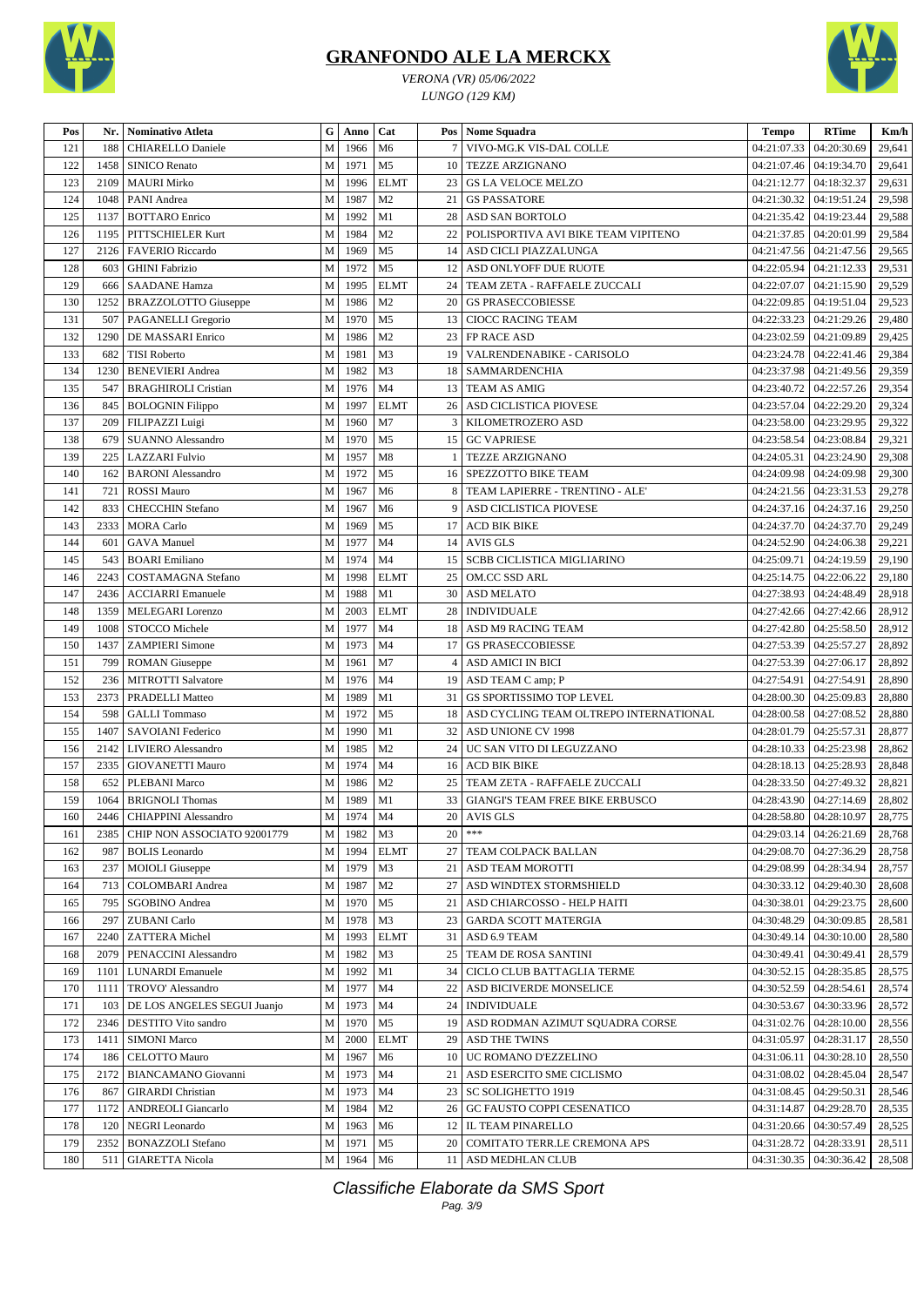

*VERONA (VR) 05/06/2022 LUNGO (129 KM)*



| Pos | Nr.  | <b>Nominativo Atleta</b>    | G   | Anno      | Cat            | Pos | <b>Nome Squadra</b>                    | <b>Tempo</b>            | <b>RTime</b>              | Km/h   |
|-----|------|-----------------------------|-----|-----------|----------------|-----|----------------------------------------|-------------------------|---------------------------|--------|
| 121 | 188  | <b>CHIARELLO Daniele</b>    | M   | 1966      | M <sub>6</sub> |     | VIVO-MG.K VIS-DAL COLLE                | 04:21:07.33             | 04:20:30.69               | 29,641 |
| 122 | 1458 | <b>SINICO Renato</b>        | M   | 1971      | M <sub>5</sub> | 10  | <b>TEZZE ARZIGNANO</b>                 |                         | 04:21:07.46   04:19:34.70 | 29,641 |
| 123 | 2109 | <b>MAURI Mirko</b>          | M   | 1996      | <b>ELMT</b>    | 23  | <b>GS LA VELOCE MELZO</b>              | 04:21:12.77             | 04:18:32.37               | 29,631 |
| 124 | 1048 | PANI Andrea                 | M   | 1987      | M <sub>2</sub> | 21  | <b>GS PASSATORE</b>                    | 04:21:30.32             | 04:19:51.24               | 29,598 |
| 125 | 1137 | <b>BOTTARO</b> Enrico       | M   | 1992      | M1             | 28  | ASD SAN BORTOLO                        | 04:21:35.42             | 04:19:23.44               | 29,588 |
| 126 | 1195 | PITTSCHIELER Kurt           | M   | 1984      | M <sub>2</sub> | 22  | POLISPORTIVA AVI BIKE TEAM VIPITENO    | 04:21:37.85             | 04:20:01.99               | 29,584 |
| 127 | 2126 | FAVERIO Riccardo            | M   | 1969      | M <sub>5</sub> | 14  | ASD CICLI PIAZZALUNGA                  | 04:21:47.56             | 04:21:47.56               | 29,565 |
| 128 | 603  | <b>GHINI</b> Fabrizio       | M   | 1972      | M <sub>5</sub> | 12  | ASD ONLYOFF DUE RUOTE                  | 04:22:05.94             | 04:21:12.33               | 29,531 |
| 129 | 666  | <b>SAADANE Hamza</b>        | M   | 1995      | <b>ELMT</b>    | 24  | TEAM ZETA - RAFFAELE ZUCCALI           | 04:22:07.07             | 04:21:15.90               | 29,529 |
| 130 | 1252 | <b>BRAZZOLOTTO Giuseppe</b> | M   | 1986      | M <sub>2</sub> | 20  | <b>GS PRASECCOBIESSE</b>               | 04:22:09.85             | 04:19:51.04               | 29,523 |
| 131 | 507  | PAGANELLI Gregorio          | M   | 1970      | M <sub>5</sub> | 13  | <b>CIOCC RACING TEAM</b>               | 04:22:33.23             | 04:21:29.26               | 29,480 |
| 132 | 1290 | DE MASSARI Enrico           | M   | 1986      | M <sub>2</sub> | 23  | FP RACE ASD                            | 04:23:02.59             | 04:21:09.89               | 29,425 |
| 133 | 682  | <b>TISI Roberto</b>         | M   | 1981      | M <sub>3</sub> | 19  | VALRENDENABIKE - CARISOLO              | 04:23:24.78             | 04:22:41.46               | 29,384 |
| 134 | 1230 | <b>BENEVIERI</b> Andrea     | M   | 1982      | M <sub>3</sub> | 18  | SAMMARDENCHIA                          | 04:23:37.98             | 04:21:49.56               | 29,359 |
| 135 | 547  | <b>BRAGHIROLI Cristian</b>  | M   | 1976      | M <sub>4</sub> | 13  | <b>TEAM AS AMIG</b>                    | 04:23:40.72             | 04:22:57.26               | 29,354 |
| 136 | 845  | <b>BOLOGNIN Filippo</b>     | M   | 1997      | <b>ELMT</b>    | 26  | ASD CICLISTICA PIOVESE                 | 04:23:57.04             | 04:22:29.20               | 29,324 |
| 137 | 209  | FILIPAZZI Luigi             | M   | 1960      | M <sub>7</sub> | 3   | KILOMETROZERO ASD                      | 04:23:58.00             | 04:23:29.95               | 29,322 |
| 138 | 679  | <b>SUANNO Alessandro</b>    | M   | 1970      | M <sub>5</sub> | 15  | <b>GC VAPRIESE</b>                     | 04:23:58.54             | 04:23:08.84               | 29,321 |
| 139 | 225  | <b>LAZZARI</b> Fulvio       | M   | 1957      | M8             |     | <b>TEZZE ARZIGNANO</b>                 | 04:24:05.31             | 04:23:24.90               | 29,308 |
|     |      |                             | M   |           |                |     | SPEZZOTTO BIKE TEAM                    |                         |                           |        |
| 140 | 162  | <b>BARONI</b> Alessandro    |     | 1972      | M <sub>5</sub> | 16  |                                        | 04:24:09.98             | 04:24:09.98               | 29,300 |
| 141 | 721  | <b>ROSSI Mauro</b>          | M   | 1967      | M <sub>6</sub> | 8   | TEAM LAPIERRE - TRENTINO - ALE'        |                         | 04:24:21.56   04:23:31.53 | 29,278 |
| 142 | 833  | <b>CHECCHIN Stefano</b>     | M   | 1967      | M <sub>6</sub> | 9   | ASD CICLISTICA PIOVESE                 |                         | 04:24:37.16   04:24:37.16 | 29,250 |
| 143 | 2333 | <b>MORA</b> Carlo           | M   | 1969      | M <sub>5</sub> | 17  | <b>ACD BIK BIKE</b>                    | 04:24:37.70             | 04:24:37.70               | 29,249 |
| 144 | 601  | <b>GAVA</b> Manuel          | M   | 1977      | M <sub>4</sub> | 14  | <b>AVIS GLS</b>                        | 04:24:52.90             | 04:24:06.38               | 29,221 |
| 145 | 543  | <b>BOARI</b> Emiliano       | M   | 1974      | M <sub>4</sub> | 15  | <b>SCBB CICLISTICA MIGLIARINO</b>      | 04:25:09.71             | 04:24:19.59               | 29,190 |
| 146 | 2243 | COSTAMAGNA Stefano          | M   | 1998      | <b>ELMT</b>    | 25  | OM.CC SSD ARL                          | 04:25:14.75             | 04:22:06.22               | 29,180 |
| 147 | 2436 | <b>ACCIARRI Emanuele</b>    | M   | 1988      | M1             | 30  | <b>ASD MELATO</b>                      | 04:27:38.93             | 04:24:48.49               | 28,918 |
| 148 | 1359 | MELEGARI Lorenzo            | M   | 2003      | <b>ELMT</b>    | 28  | <b>INDIVIDUALE</b>                     |                         | 04:27:42.66   04:27:42.66 | 28,912 |
| 149 | 1008 | STOCCO Michele              | M   | 1977      | M <sub>4</sub> | 18  | ASD M9 RACING TEAM                     | 04:27:42.80             | 04:25:58.50               | 28,912 |
| 150 | 1437 | <b>ZAMPIERI Simone</b>      | M   | 1973      | M <sub>4</sub> | 17  | <b>GS PRASECCOBIESSE</b>               | 04:27:53.39             | 04:25:57.27               | 28,892 |
| 151 | 799  | <b>ROMAN</b> Giuseppe       | M   | 1961      | M7             | 4   | <b>ASD AMICI IN BICI</b>               | 04:27:53.39             | 04:27:06.17               | 28,892 |
| 152 | 236  | <b>MITROTTI Salvatore</b>   | M   | 1976      | M <sub>4</sub> | 19  | ASD TEAM C amp; P                      | 04:27:54.91             | 04:27:54.91               | 28,890 |
| 153 | 2373 | PRADELLI Matteo             | M   | 1989      | M1             | 31  | GS SPORTISSIMO TOP LEVEL               | 04:28:00.30             | 04:25:09.83               | 28,880 |
| 154 | 598  | <b>GALLI</b> Tommaso        | M   | 1972      | M <sub>5</sub> | 18  | ASD CYCLING TEAM OLTREPO INTERNATIONAL | 04:28:00.58             | 04:27:08.52               | 28,880 |
| 155 | 1407 | <b>SAVOIANI</b> Federico    | M   | 1990      | M1             | 32  | ASD UNIONE CV 1998                     | 04:28:01.79             | 04:25:57.31               | 28,877 |
| 156 | 2142 | <b>LIVIERO</b> Alessandro   | M   | 1985      | M <sub>2</sub> | 24  | UC SAN VITO DI LEGUZZANO               | 04:28:10.33             | 04:25:23.98               | 28,862 |
| 157 | 2335 | <b>GIOVANETTI Mauro</b>     | M   | 1974      | M <sub>4</sub> | 16  | <b>ACD BIK BIKE</b>                    | 04:28:18.13             | 04:25:28.93               | 28,848 |
| 158 | 652  | PLEBANI Marco               | M   | 1986      | M <sub>2</sub> | 25  | TEAM ZETA - RAFFAELE ZUCCALI           | 04:28:33.50             | 04:27:49.32               | 28,821 |
| 159 | 1064 | <b>BRIGNOLI Thomas</b>      | M   | 1989      | M1             | 33  | <b>GIANGI'S TEAM FREE BIKE ERBUSCO</b> |                         | 04:28:43.90   04:27:14.69 | 28,802 |
| 160 |      | 2446 CHIAPPINI Alessandro   | M I | 1974   M4 |                |     | 20 AVIS GLS                            | 04:28:58.80 04:28:10.97 |                           | 28,775 |
| 161 | 2385 | CHIP NON ASSOCIATO 92001779 | M   | 1982      | M <sub>3</sub> | 20  | $***$                                  |                         | 04:29:03.14   04:26:21.69 | 28,768 |
| 162 | 987  | <b>BOLIS</b> Leonardo       | M   | 1994      | <b>ELMT</b>    | 27  | TEAM COLPACK BALLAN                    | 04:29:08.70             | 04:27:36.29               | 28,758 |
| 163 | 237  | <b>MOIOLI</b> Giuseppe      | M   | 1979      | M <sub>3</sub> | 21  | <b>ASD TEAM MOROTTI</b>                | 04:29:08.99             | 04:28:34.94               | 28,757 |
| 164 | 713  | <b>COLOMBARI</b> Andrea     | M   | 1987      | M <sub>2</sub> | 27  | ASD WINDTEX STORMSHIELD                | 04:30:33.12             | 04:29:40.30               | 28,608 |
| 165 | 795  | SGOBINO Andrea              | M   | 1970      | M <sub>5</sub> | 21  | ASD CHIARCOSSO - HELP HAITI            | 04:30:38.01             | 04:29:23.75               | 28,600 |
| 166 | 297  | <b>ZUBANI</b> Carlo         | M   | 1978      | M <sub>3</sub> | 23  | <b>GARDA SCOTT MATERGIA</b>            | 04:30:48.29             | 04:30:09.85               | 28,581 |
| 167 | 2240 | <b>ZATTERA</b> Michel       | M   | 1993      | <b>ELMT</b>    | 31  | ASD 6.9 TEAM                           |                         | 04:30:49.14   04:30:10.00 | 28,580 |
| 168 | 2079 | PENACCINI Alessandro        | M   | 1982      | M <sub>3</sub> | 25  | TEAM DE ROSA SANTINI                   | 04:30:49.41             | 04:30:49.41               | 28,579 |
| 169 | 1101 | <b>LUNARDI</b> Emanuele     | M   | 1992      | M1             | 34  | CICLO CLUB BATTAGLIA TERME             | 04:30:52.15             | 04:28:35.85               | 28,575 |
| 170 | 1111 | TROVO' Alessandro           | M   | 1977      | M4             | 22  | ASD BICIVERDE MONSELICE                | 04:30:52.59             | 04:28:54.61               | 28,574 |
| 171 | 103  | DE LOS ANGELES SEGUI Juanjo | M   | 1973      | M4             | 24  | <b>INDIVIDUALE</b>                     | 04:30:53.67             | 04:30:33.96               | 28,572 |
| 172 | 2346 | DESTITO Vito sandro         | M   | 1970      | M <sub>5</sub> | 19  | ASD RODMAN AZIMUT SQUADRA CORSE        | 04:31:02.76             | 04:28:10.00               | 28,556 |
| 173 | 1411 | <b>SIMONI Marco</b>         | M   | 2000      | <b>ELMT</b>    | 29  | <b>ASD THE TWINS</b>                   | 04:31:05.97             | 04:28:31.17               | 28,550 |
| 174 | 186  | CELOTTO Mauro               | M   | 1967      | M6             | 10  | UC ROMANO D'EZZELINO                   | 04:31:06.11             | 04:30:28.10               | 28,550 |
| 175 | 2172 | <b>BIANCAMANO</b> Giovanni  | M   | 1973      | M <sub>4</sub> | 21  | ASD ESERCITO SME CICLISMO              | 04:31:08.02             | 04:28:45.04               | 28,547 |
| 176 | 867  | <b>GIRARDI</b> Christian    | M   | 1973      | M <sub>4</sub> | 23  | <b>SC SOLIGHETTO 1919</b>              | 04:31:08.45             | 04:29:50.31               |        |
|     | 1172 |                             | M   |           | M <sub>2</sub> | 26  | <b>GC FAUSTO COPPI CESENATICO</b>      |                         |                           | 28,546 |
| 177 |      | <b>ANDREOLI Giancarlo</b>   |     | 1984      |                |     |                                        | 04:31:14.87             | 04:29:28.70               | 28,535 |
| 178 | 120  | NEGRI Leonardo              | M   | 1963      | M6             | 12  | IL TEAM PINARELLO                      | 04:31:20.66             | 04:30:57.49               | 28,525 |
| 179 | 2352 | <b>BONAZZOLI</b> Stefano    | M   | 1971      | M <sub>5</sub> | 20  | COMITATO TERR.LE CREMONA APS           | 04:31:28.72             | 04:28:33.91               | 28,511 |
| 180 | 511  | <b>GIARETTA Nicola</b>      | M   | 1964      | M <sub>6</sub> |     | 11 ASD MEDHLAN CLUB                    |                         | 04:31:30.35   04:30:36.42 | 28,508 |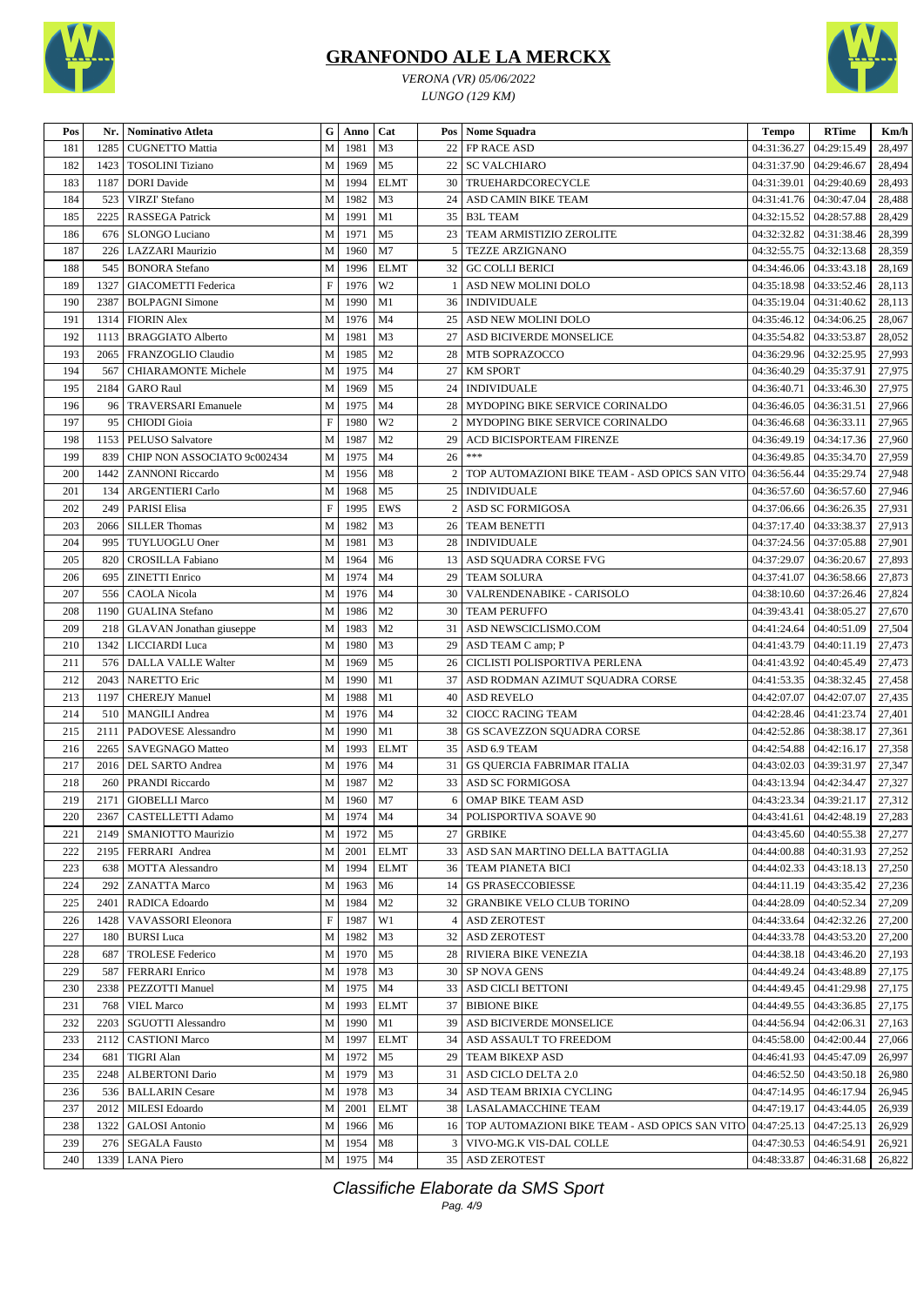



*VERONA (VR) 05/06/2022 LUNGO (129 KM)*

| Pos        | Nr.  | Nominativo Atleta           | G                         | Anno      | Cat            |                | Pos Nome Squadra                                                              | <b>Tempo</b> | <b>RTime</b>                   | Km/h   |
|------------|------|-----------------------------|---------------------------|-----------|----------------|----------------|-------------------------------------------------------------------------------|--------------|--------------------------------|--------|
| 181        | 1285 | <b>CUGNETTO Mattia</b>      | M                         | 1981      | M3             | 22             | FP RACE ASD                                                                   | 04:31:36.27  | 04:29:15.49                    | 28,497 |
| 182        | 1423 | <b>TOSOLINI</b> Tiziano     | M                         | 1969      | M <sub>5</sub> | 22             | <b>SC VALCHIARO</b>                                                           | 04:31:37.90  | 04:29:46.67                    | 28,494 |
| 183        | 1187 | <b>DORI</b> Davide          | M                         | 1994      | <b>ELMT</b>    | 30             | TRUEHARDCORECYCLE                                                             | 04:31:39.01  | 04:29:40.69                    | 28,493 |
| 184        | 523  | <b>VIRZI' Stefano</b>       | M                         | 1982      | M3             | 24             | ASD CAMIN BIKE TEAM                                                           | 04:31:41.76  | 04:30:47.04                    | 28,488 |
| 185        | 2225 | <b>RASSEGA Patrick</b>      | M                         | 1991      | M1             | 35             | <b>B3L TEAM</b>                                                               | 04:32:15.52  | 04:28:57.88                    | 28,429 |
| 186        | 676  | <b>SLONGO Luciano</b>       | $\mathbf M$               | 1971      | M <sub>5</sub> | 23             | TEAM ARMISTIZIO ZEROLITE                                                      | 04:32:32.82  | 04:31:38.46                    | 28,399 |
| 187        | 226  | LAZZARI Maurizio            | M                         | 1960      | M7             | 5              | TEZZE ARZIGNANO                                                               | 04:32:55.75  | 04:32:13.68                    | 28,359 |
| 188        | 545  | <b>BONORA</b> Stefano       | M                         | 1996      | <b>ELMT</b>    | 32             | <b>GC COLLI BERICI</b>                                                        | 04:34:46.06  | 04:33:43.18                    | 28,169 |
| 189        | 1327 | <b>GIACOMETTI</b> Federica  | $\boldsymbol{\mathrm{F}}$ | 1976      | W <sub>2</sub> | -1             | ASD NEW MOLINI DOLO                                                           | 04:35:18.98  | 04:33:52.46                    | 28,113 |
| 190        | 2387 | <b>BOLPAGNI Simone</b>      | M                         | 1990      | M1             | 36             | <b>INDIVIDUALE</b>                                                            | 04:35:19.04  | 04:31:40.62                    | 28,113 |
| 191        | 1314 | <b>FIORIN Alex</b>          | M                         | 1976      | M <sub>4</sub> | 25             | ASD NEW MOLINI DOLO                                                           | 04:35:46.12  | 04:34:06.25                    | 28,067 |
| 192        | 1113 | <b>BRAGGIATO Alberto</b>    | M                         | 1981      | M3             | 27             | ASD BICIVERDE MONSELICE                                                       | 04:35:54.82  | 04:33:53.87                    | 28,052 |
|            |      |                             |                           | 1985      | M <sub>2</sub> |                |                                                                               |              |                                |        |
| 193<br>194 | 2065 | FRANZOGLIO Claudio          | M                         | 1975      | M <sub>4</sub> | 28             | MTB SOPRAZOCCO<br><b>KM SPORT</b>                                             | 04:36:29.96  | 04:32:25.95                    | 27,993 |
|            | 567  | <b>CHIARAMONTE Michele</b>  | M                         |           |                | 27             |                                                                               | 04:36:40.29  | 04:35:37.91                    | 27,975 |
| 195        | 2184 | <b>GARO Raul</b>            | M                         | 1969      | M <sub>5</sub> | 24             | <b>INDIVIDUALE</b>                                                            | 04:36:40.71  | 04:33:46.30                    | 27,975 |
| 196        | 96   | <b>TRAVERSARI Emanuele</b>  | M                         | 1975      | M <sub>4</sub> | 28             | MYDOPING BIKE SERVICE CORINALDO                                               | 04:36:46.05  | 04:36:31.51                    | 27,966 |
| 197        | 95   | <b>CHIODI</b> Gioia         | $\mathbf F$               | 1980      | W <sub>2</sub> | $\overline{2}$ | MYDOPING BIKE SERVICE CORINALDO                                               | 04:36:46.68  | 04:36:33.11                    | 27,965 |
| 198        | 1153 | PELUSO Salvatore            | M                         | 1987      | M <sub>2</sub> | 29             | ACD BICISPORTEAM FIRENZE                                                      | 04:36:49.19  | 04:34:17.36                    | 27,960 |
| 199        | 839  | CHIP NON ASSOCIATO 9c002434 | M                         | 1975      | M <sub>4</sub> | 26             | $\ast\ast\ast$                                                                | 04:36:49.85  | 04:35:34.70                    | 27,959 |
| 200        | 1442 | <b>ZANNONI Riccardo</b>     | M                         | 1956      | M8             | $\overline{2}$ | TOP AUTOMAZIONI BIKE TEAM - ASD OPICS SAN VITO 04:36:56.44                    |              | 04:35:29.74                    | 27,948 |
| 201        | 134  | <b>ARGENTIERI</b> Carlo     | M                         | 1968      | M <sub>5</sub> | 25             | <b>INDIVIDUALE</b>                                                            | 04:36:57.60  | 04:36:57.60                    | 27,946 |
| 202        | 249  | <b>PARISI Elisa</b>         | $\boldsymbol{\mathrm{F}}$ | 1995      | <b>EWS</b>     | 2              | ASD SC FORMIGOSA                                                              | 04:37:06.66  | 04:36:26.35                    | 27,931 |
| 203        | 2066 | <b>SILLER Thomas</b>        | M                         | 1982      | M3             | 26             | <b>TEAM BENETTI</b>                                                           | 04:37:17.40  | 04:33:38.37                    | 27,913 |
| 204        | 995  | TUYLUOGLU Oner              | M                         | 1981      | M3             | 28             | <b>INDIVIDUALE</b>                                                            | 04:37:24.56  | 04:37:05.88                    | 27,901 |
| 205        | 820  | <b>CROSILLA Fabiano</b>     | M                         | 1964      | M <sub>6</sub> |                | 13 ASD SOUADRA CORSE FVG                                                      | 04:37:29.07  | 04:36:20.67                    | 27,893 |
| 206        | 695  | <b>ZINETTI</b> Enrico       | M                         | 1974      | M <sub>4</sub> | 29             | <b>TEAM SOLURA</b>                                                            | 04:37:41.07  | 04:36:58.66                    | 27,873 |
| 207        | 556  | <b>CAOLA</b> Nicola         | M                         | 1976      | M <sub>4</sub> | 30             | VALRENDENABIKE - CARISOLO                                                     | 04:38:10.60  | 04:37:26.46                    | 27,824 |
| 208        | 1190 | <b>GUALINA</b> Stefano      | M                         | 1986      | M <sub>2</sub> | 30             | <b>TEAM PERUFFO</b>                                                           | 04:39:43.41  | 04:38:05.27                    | 27,670 |
| 209        | 218  | GLAVAN Jonathan giuseppe    | M                         | 1983      | M <sub>2</sub> | 31             | ASD NEWSCICLISMO.COM                                                          | 04:41:24.64  | 04:40:51.09                    | 27,504 |
| 210        | 1342 | LICCIARDI Luca              | M                         | 1980      | M3             | 29             | ASD TEAM C amp; P                                                             | 04:41:43.79  | 04:40:11.19                    | 27,473 |
| 211        | 576  | <b>DALLA VALLE Walter</b>   | M                         | 1969      | M <sub>5</sub> | 26             | CICLISTI POLISPORTIVA PERLENA                                                 | 04:41:43.92  | 04:40:45.49                    | 27,473 |
| 212        | 2043 | <b>NARETTO</b> Eric         | M                         | 1990      | M1             | 37             | ASD RODMAN AZIMUT SQUADRA CORSE                                               | 04:41:53.35  | 04:38:32.45                    | 27,458 |
| 213        | 1197 | <b>CHEREJY Manuel</b>       | M                         | 1988      | M1             | 40             | <b>ASD REVELO</b>                                                             | 04:42:07.07  | 04:42:07.07                    | 27,435 |
| 214        |      | 510   MANGILI Andrea        | M                         | 1976      | M <sub>4</sub> | 32             | <b>CIOCC RACING TEAM</b>                                                      | 04:42:28.46  | 04:41:23.74                    | 27,401 |
| 215        | 2111 | PADOVESE Alessandro         | M                         | 1990      | M1             | 38             | GS SCAVEZZON SQUADRA CORSE                                                    | 04:42:52.86  | 04:38:38.17                    | 27,361 |
| 216        | 2265 | SAVEGNAGO Matteo            | M                         | 1993      | <b>ELMT</b>    | 35             | ASD 6.9 TEAM                                                                  | 04:42:54.88  | 04:42:16.17                    | 27,358 |
| 217        |      | 2016   DEL SARTO Andrea     | M                         | 1976      | M <sub>4</sub> | 31             | <b>GS QUERCIA FABRIMAR ITALIA</b>                                             | 04:43:02.03  | 04:39:31.97                    | 27,347 |
| 218        | 260  | <b>PRANDI Riccardo</b>      | M                         | 1987      | M <sub>2</sub> | 33             | <b>ASD SC FORMIGOSA</b>                                                       | 04:43:13.94  | 04:42:34.47                    | 27,327 |
| 219        |      | 2171   GIOBELLI Marco       | ${\bf M}$                 | 1960      | M <sub>7</sub> | 6              | <b>OMAP BIKE TEAM ASD</b>                                                     |              | 04:43:23.34   04:39:21.17      | 27,312 |
|            |      |                             |                           | M 1974 M4 |                |                |                                                                               |              |                                |        |
| 220        |      | 2367   CASTELLETTI Adamo    |                           |           |                |                | 34 POLISPORTIVA SOAVE 90                                                      |              | 04:43:41.61 04:42:48.19 27,283 |        |
| 221        | 2149 | <b>SMANIOTTO Maurizio</b>   | M                         | 1972      | M5             | 27             | <b>GRBIKE</b>                                                                 | 04:43:45.60  | 04:40:55.38                    | 27,277 |
| 222        | 2195 | FERRARI Andrea              | M                         | 2001      | <b>ELMT</b>    |                | 33   ASD SAN MARTINO DELLA BATTAGLIA                                          | 04:44:00.88  | 04:40:31.93                    | 27,252 |
| 223        | 638  | MOTTA Alessandro            | M                         | 1994      | <b>ELMT</b>    |                | <b>36   TEAM PIANETA BICI</b>                                                 | 04:44:02.33  | 04:43:18.13                    | 27,250 |
| 224        | 292  | <b>ZANATTA Marco</b>        | M                         | 1963      | M <sub>6</sub> |                | 14 GS PRASECCOBIESSE                                                          | 04:44:11.19  | 04:43:35.42                    | 27,236 |
| 225        | 2401 | RADICA Edoardo              | М                         | 1984      | M <sub>2</sub> |                | 32   GRANBIKE VELO CLUB TORINO                                                | 04:44:28.09  | 04:40:52.34                    | 27,209 |
| 226        | 1428 | VAVASSORI Eleonora          | F                         | 1987      | W1             |                | 4 ASD ZEROTEST                                                                | 04:44:33.64  | 04:42:32.26                    | 27,200 |
| 227        | 180  | <b>BURSI</b> Luca           | M                         | 1982      | M <sub>3</sub> |                | 32 ASD ZEROTEST                                                               | 04:44:33.78  | 04:43:53.20                    | 27,200 |
| 228        | 687  | <b>TROLESE Federico</b>     | М                         | 1970      | M <sub>5</sub> |                | 28 RIVIERA BIKE VENEZIA                                                       | 04:44:38.18  | 04:43:46.20                    | 27,193 |
| 229        | 587  | <b>FERRARI</b> Enrico       | M                         | 1978      | M <sub>3</sub> |                | 30   SP NOVA GENS                                                             | 04:44:49.24  | 04:43:48.89                    | 27,175 |
| 230        | 2338 | PEZZOTTI Manuel             | M                         | 1975      | M <sub>4</sub> |                | 33 ASD CICLI BETTONI                                                          | 04:44:49.45  | 04:41:29.98                    | 27,175 |
| 231        | 768  | <b>VIEL Marco</b>           | M                         | 1993      | <b>ELMT</b>    |                | 37 BIBIONE BIKE                                                               | 04:44:49.55  | 04:43:36.85                    | 27,175 |
| 232        | 2203 | <b>SGUOTTI Alessandro</b>   | M                         | 1990      | M1             |                | 39 ASD BICIVERDE MONSELICE                                                    | 04:44:56.94  | 04:42:06.31                    | 27,163 |
| 233        | 2112 | <b>CASTIONI Marco</b>       | M                         | 1997      | <b>ELMT</b>    |                | 34   ASD ASSAULT TO FREEDOM                                                   | 04:45:58.00  | 04:42:00.44                    | 27,066 |
| 234        | 681  | TIGRI Alan                  | М                         | 1972      | M5             |                | 29   TEAM BIKEXP ASD                                                          | 04:46:41.93  | 04:45:47.09                    | 26,997 |
| 235        | 2248 | <b>ALBERTONI</b> Dario      | M                         | 1979      | M3             |                | 31   ASD CICLO DELTA 2.0                                                      | 04:46:52.50  | 04:43:50.18                    | 26,980 |
| 236        | 536  | <b>BALLARIN</b> Cesare      | M                         | 1978      | M3             |                | 34   ASD TEAM BRIXIA CYCLING                                                  | 04:47:14.95  | 04:46:17.94                    | 26,945 |
| 237        | 2012 | <b>MILESI</b> Edoardo       | M                         | 2001      | <b>ELMT</b>    |                | 38   LASALAMACCHINE TEAM                                                      | 04:47:19.17  | 04:43:44.05                    | 26,939 |
| 238        | 1322 | <b>GALOSI</b> Antonio       |                           | M 1966    | M <sub>6</sub> |                | 16   TOP AUTOMAZIONI BIKE TEAM - ASD OPICS SAN VITO 04:47:25.13   04:47:25.13 |              |                                | 26,929 |
| 239        | 276  | <b>SEGALA Fausto</b>        |                           | M   1954  | M8             |                | 3   VIVO-MG.K VIS-DAL COLLE                                                   | 04:47:30.53  | 04:46:54.91                    | 26,921 |
| 240        |      | 1339 LANA Piero             |                           | M 1975 M4 |                |                | 35 ASD ZEROTEST                                                               | 04:48:33.87  | 04:46:31.68                    | 26,822 |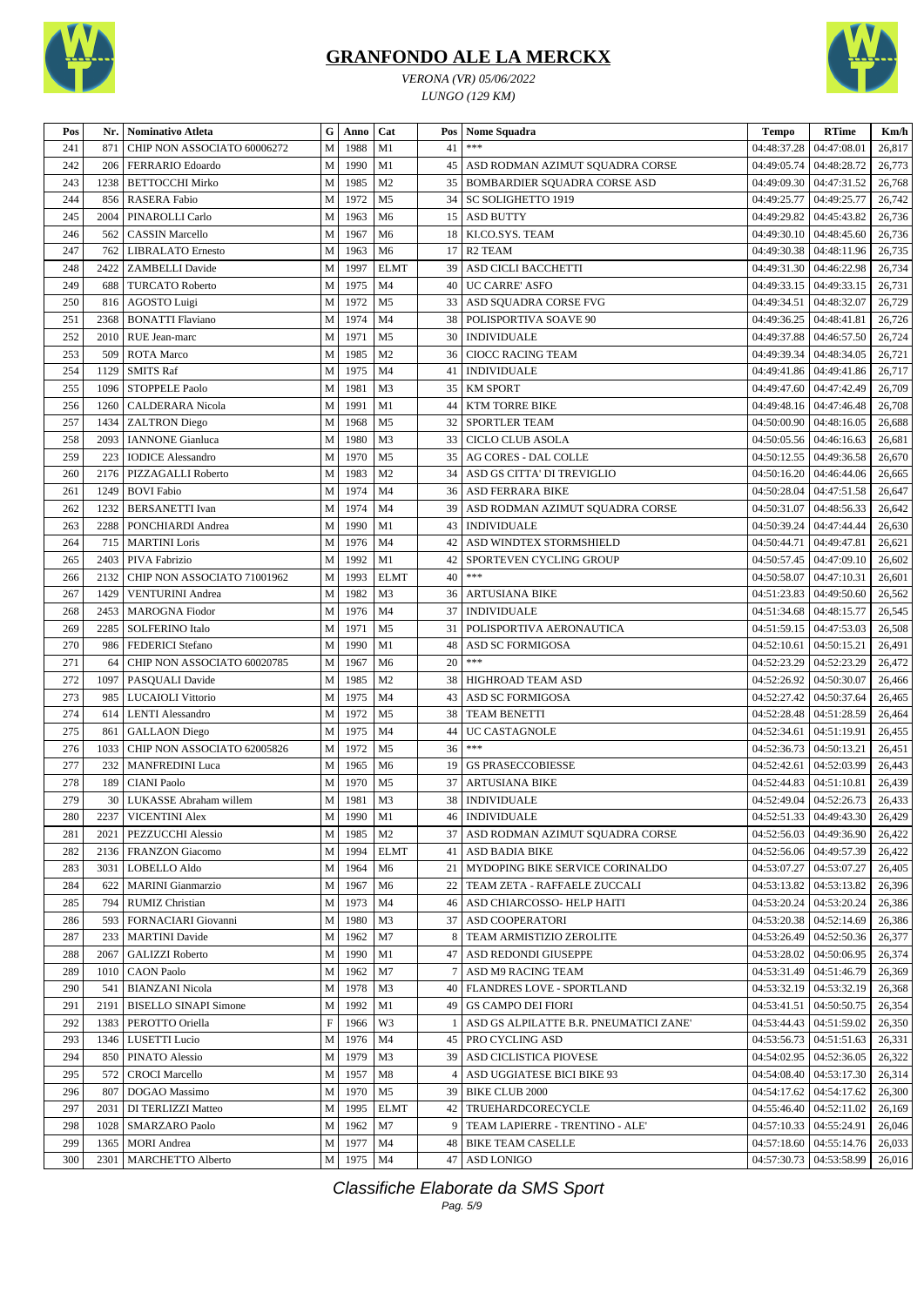





| <i>VERONA (VR) 05/06/2022</i> |
|-------------------------------|
| LUNGO (129 KM)                |

| Pos | Nr.             | <b>Nominativo Atleta</b>     | G           | Anno      | Cat            | Pos             | <b>Nome Squadra</b>                    | <b>Tempo</b>              | <b>RTime</b>                       | Km/h   |
|-----|-----------------|------------------------------|-------------|-----------|----------------|-----------------|----------------------------------------|---------------------------|------------------------------------|--------|
| 241 | 871             | CHIP NON ASSOCIATO 60006272  | M           | 1988      | M1             | 41              | $***$                                  | 04:48:37.28               | 04:47:08.01                        | 26,817 |
| 242 | 206             | FERRARIO Edoardo             | M           | 1990      | M1             | 45              | ASD RODMAN AZIMUT SQUADRA CORSE        | 04:49:05.74               | 04:48:28.72                        | 26,773 |
| 243 | 1238            | <b>BETTOCCHI Mirko</b>       | M           | 1985      | M <sub>2</sub> | 35              | <b>BOMBARDIER SQUADRA CORSE ASD</b>    | 04:49:09.30               | 04:47:31.52                        | 26,768 |
| 244 | 856             | RASERA Fabio                 | $\mathbf M$ | 1972      | M <sub>5</sub> | 34              | <b>SC SOLIGHETTO 1919</b>              | 04:49:25.77               | 04:49:25.77                        | 26,742 |
| 245 | 2004            | PINAROLLI Carlo              | M           | 1963      | M <sub>6</sub> | 15              | <b>ASD BUTTY</b>                       | 04:49:29.82               | 04:45:43.82                        | 26,736 |
| 246 | 562             | <b>CASSIN Marcello</b>       | $\mathbf M$ | 1967      | M <sub>6</sub> | 18              | KI.CO.SYS. TEAM                        | 04:49:30.10               | 04:48:45.60                        | 26,736 |
| 247 | 762             | <b>LIBRALATO</b> Ernesto     | M           | 1963      | M <sub>6</sub> | 17              | R <sub>2</sub> TEAM                    | 04:49:30.38               | 04:48:11.96                        | 26,735 |
| 248 | 2422            | <b>ZAMBELLI</b> Davide       | M           | 1997      | <b>ELMT</b>    | 39              | ASD CICLI BACCHETTI                    | 04:49:31.30               | 04:46:22.98                        | 26,734 |
| 249 | 688             | <b>TURCATO Roberto</b>       | $\mathbf M$ | 1975      | M <sub>4</sub> | 40              | <b>UC CARRE' ASFO</b>                  | 04:49:33.15               | 04:49:33.15                        | 26,731 |
| 250 | 816             | AGOSTO Luigi                 | M           | 1972      | M <sub>5</sub> | 33              | ASD SQUADRA CORSE FVG                  | 04:49:34.51               | 04:48:32.07                        | 26,729 |
| 251 | 2368            | <b>BONATTI Flaviano</b>      | M           | 1974      | M <sub>4</sub> | 38              | POLISPORTIVA SOAVE 90                  | 04:49:36.25               | 04:48:41.81                        | 26,726 |
| 252 | 2010            | RUE Jean-marc                | ${\bf M}$   | 1971      | M <sub>5</sub> | 30              | <b>INDIVIDUALE</b>                     | 04:49:37.88               | 04:46:57.50                        | 26,724 |
| 253 | 509             | <b>ROTA</b> Marco            | M           | 1985      | M <sub>2</sub> | 36              | <b>CIOCC RACING TEAM</b>               | 04:49:39.34               | 04:48:34.05                        | 26,721 |
| 254 | 1129            | <b>SMITS Raf</b>             | M           | 1975      | M <sub>4</sub> | 41              | <b>INDIVIDUALE</b>                     | 04:49:41.86               | 04:49:41.86                        | 26,717 |
| 255 | 1096            | <b>STOPPELE Paolo</b>        | M           | 1981      | M <sub>3</sub> | 35 <sup>1</sup> | <b>KM SPORT</b>                        | 04:49:47.60               | 04:47:42.49                        | 26,709 |
| 256 | 1260            | CALDERARA Nicola             | M           | 1991      | M1             | 44              | <b>KTM TORRE BIKE</b>                  | 04:49:48.16               | 04:47:46.48                        | 26,708 |
| 257 | 1434            | <b>ZALTRON</b> Diego         | M           | 1968      | M <sub>5</sub> | 32              | <b>SPORTLER TEAM</b>                   | 04:50:00.90               | 04:48:16.05                        | 26,688 |
| 258 | 2093            | <b>IANNONE</b> Gianluca      | M           | 1980      | M <sub>3</sub> | 33              | <b>CICLO CLUB ASOLA</b>                | 04:50:05.56               | 04:46:16.63                        | 26,681 |
| 259 | 223             | <b>IODICE</b> Alessandro     | M           | 1970      | M <sub>5</sub> |                 | 35 AG CORES - DAL COLLE                | 04:50:12.55               | 04:49:36.58                        | 26,670 |
| 260 | 2176            | PIZZAGALLI Roberto           | $\mathbf M$ | 1983      | M <sub>2</sub> | 34              | ASD GS CITTA' DI TREVIGLIO             | 04:50:16.20               | 04:46:44.06                        | 26,665 |
| 261 | 1249            | <b>BOVI Fabio</b>            | M           | 1974      | M <sub>4</sub> |                 | 36   ASD FERRARA BIKE                  | 04:50:28.04               | 04:47:51.58                        | 26,647 |
| 262 | 1232            | <b>BERSANETTI</b> Ivan       | M           | 1974      | M <sub>4</sub> | 39              | ASD RODMAN AZIMUT SQUADRA CORSE        | 04:50:31.07               | 04:48:56.33                        | 26,642 |
| 263 | 2288            | PONCHIARDI Andrea            | M           | 1990      | M1             | 43              | <b>INDIVIDUALE</b>                     | 04:50:39.24               | 04:47:44.44                        | 26,630 |
| 264 | 715             | <b>MARTINI</b> Loris         | M           | 1976      | M <sub>4</sub> | 42              | ASD WINDTEX STORMSHIELD                | 04:50:44.71               | 04:49:47.81                        | 26,621 |
| 265 | 2403            | PIVA Fabrizio                | $\mathbf M$ | 1992      | M1             | 42              | SPORTEVEN CYCLING GROUP                | 04:50:57.45               | 04:47:09.10                        | 26,602 |
| 266 | 2132            | CHIP NON ASSOCIATO 71001962  | M           | 1993      | <b>ELMT</b>    | 40              | $***$                                  | 04:50:58.07               | 04:47:10.31                        | 26,601 |
| 267 | 1429            | <b>VENTURINI Andrea</b>      | M           | 1982      | M <sub>3</sub> | 36              | <b>ARTUSIANA BIKE</b>                  | 04:51:23.83               | 04:49:50.60                        | 26,562 |
| 268 | 2453            | <b>MAROGNA</b> Fiodor        | $\mathbf M$ | 1976      | M <sub>4</sub> | 37              | <b>INDIVIDUALE</b>                     | 04:51:34.68               | 04:48:15.77                        | 26,545 |
| 269 | 2285            | <b>SOLFERINO</b> Italo       | M           | 1971      | M <sub>5</sub> | 31              | POLISPORTIVA AERONAUTICA               | 04:51:59.15               | 04:47:53.03                        | 26,508 |
| 270 | 986             | FEDERICI Stefano             | M           | 1990      | M1             | 48              | <b>ASD SC FORMIGOSA</b>                | 04:52:10.61               | 04:50:15.21                        | 26,491 |
| 271 | 64              | CHIP NON ASSOCIATO 60020785  | ${\bf M}$   | 1967      | M <sub>6</sub> | 20              | $***$                                  | 04:52:23.29               | 04:52:23.29                        | 26,472 |
| 272 | 1097            | PASQUALI Davide              | M           | 1985      | M <sub>2</sub> | 38              | HIGHROAD TEAM ASD                      | 04:52:26.92               | 04:50:30.07                        | 26,466 |
| 273 | 985             | <b>LUCAIOLI Vittorio</b>     | M           | 1975      | M <sub>4</sub> | 43              | ASD SC FORMIGOSA                       | 04:52:27.42               | 04:50:37.64                        | 26,465 |
| 274 | 614             | <b>LENTI</b> Alessandro      | M           | 1972      | M <sub>5</sub> | 38              | <b>TEAM BENETTI</b>                    | 04:52:28.48               | 04:51:28.59                        | 26,464 |
| 275 | 861             | <b>GALLAON</b> Diego         | M           | 1975      | M <sub>4</sub> | 44              | <b>UC CASTAGNOLE</b>                   | 04:52:34.61               | 04:51:19.91                        | 26,455 |
| 276 | 1033            | CHIP NON ASSOCIATO 62005826  | $\mathbf M$ | 1972      | M <sub>5</sub> | 36              | $***$                                  | 04:52:36.73               | 04:50:13.21                        | 26,451 |
| 277 | 232             | <b>MANFREDINI</b> Luca       | M           | 1965      | M <sub>6</sub> | 19              | <b>GS PRASECCOBIESSE</b>               | 04:52:42.61               | 04:52:03.99                        | 26,443 |
| 278 | 189             | <b>CIANI</b> Paolo           | ${\bf M}$   | 1970      | M <sub>5</sub> | 37              | <b>ARTUSIANA BIKE</b>                  | 04:52:44.83               | 04:51:10.81                        | 26,439 |
| 279 | 30 <sup>1</sup> | LUKASSE Abraham willem       | M           | 1981      | M <sub>3</sub> |                 | 38   INDIVIDUALE                       |                           | 04:52:49.04   04:52:26.73          | 26,433 |
| 280 |                 | 2237 VICENTINI Alex          |             | M 1990 M1 |                |                 | 46 INDIVIDUALE                         |                           | 04:52:51.33   04:49:43.30   26,429 |        |
| 281 | 2021            | <b>PEZZUCCHI Alessio</b>     | M           | 1985      | M <sub>2</sub> |                 | 37 ASD RODMAN AZIMUT SQUADRA CORSE     |                           | 04:52:56.03   04:49:36.90          | 26,422 |
| 282 | 2136            | FRANZON Giacomo              | M           | 1994      | <b>ELMT</b>    |                 | 41   ASD BADIA BIKE                    |                           | 04:52:56.06   04:49:57.39          | 26,422 |
| 283 | 3031            | LOBELLO Aldo                 | M           | 1964      | M <sub>6</sub> |                 | 21 MYDOPING BIKE SERVICE CORINALDO     | 04:53:07.27               | 04:53:07.27                        | 26,405 |
| 284 | 622             | <b>MARINI</b> Gianmarzio     | M           | 1967      | M <sub>6</sub> |                 | 22   TEAM ZETA - RAFFAELE ZUCCALI      |                           | 04:53:13.82   04:53:13.82          | 26,396 |
| 285 | 794             | RUMIZ Christian              | M           | 1973      | M4             |                 | 46   ASD CHIARCOSSO- HELP HAITI        | 04:53:20.24               | 04:53:20.24                        | 26,386 |
| 286 | 593             | FORNACIARI Giovanni          | M           | 1980      | M <sub>3</sub> |                 | 37   ASD COOPERATORI                   | 04:53:20.38               | 04:52:14.69                        | 26,386 |
| 287 | 233             | <b>MARTINI</b> Davide        | M           | 1962      | M7             | 8               | TEAM ARMISTIZIO ZEROLITE               |                           | 04:53:26.49   04:52:50.36          | 26,377 |
| 288 | 2067            | <b>GALIZZI Roberto</b>       | M           | 1990      | M1             |                 | 47 ASD REDONDI GIUSEPPE                | 04:53:28.02               | 04:50:06.95                        | 26,374 |
| 289 | 1010            | <b>CAON Paolo</b>            | M           | 1962      | M7             | 7               | ASD M9 RACING TEAM                     | 04:53:31.49               | 04:51:46.79                        | 26,369 |
| 290 | 541             | <b>BIANZANI Nicola</b>       | M           | 1978      | M <sub>3</sub> | 40              | <b>FLANDRES LOVE - SPORTLAND</b>       | 04:53:32.19               | 04:53:32.19                        | 26,368 |
| 291 | 2191            | <b>BISELLO SINAPI Simone</b> | M           | 1992      | M1             | 49              | <b>GS CAMPO DEI FIORI</b>              | 04:53:41.51               | 04:50:50.75                        | 26,354 |
| 292 | 1383            | PEROTTO Oriella              | $\mathbf F$ | 1966      | W <sub>3</sub> | -1              | ASD GS ALPILATTE B.R. PNEUMATICI ZANE' | 04:53:44.43               | 04:51:59.02                        | 26,350 |
| 293 | 1346            | LUSETTI Lucio                | M           | 1976      | M <sub>4</sub> |                 | 45   PRO CYCLING ASD                   | 04:53:56.73               | 04:51:51.63                        | 26,331 |
| 294 | 850             | PINATO Alessio               | M           | 1979      | M <sub>3</sub> |                 | 39 ASD CICLISTICA PIOVESE              | 04:54:02.95               | 04:52:36.05                        | 26,322 |
| 295 | 572             | <b>CROCI</b> Marcello        | M           | 1957      | M8             | 4               | ASD UGGIATESE BICI BIKE 93             | 04:54:08.40               | 04:53:17.30                        | 26,314 |
| 296 | 807             | DOGAO Massimo                | M           | 1970      | M5             | 39              | <b>BIKE CLUB 2000</b>                  | 04:54:17.62               | 04:54:17.62                        | 26,300 |
| 297 | 2031            | DI TERLIZZI Matteo           | M           | 1995      | <b>ELMT</b>    |                 | 42   TRUEHARDCORECYCLE                 |                           | $04:55:46.40$   $04:52:11.02$      | 26,169 |
| 298 | 1028            | <b>SMARZARO Paolo</b>        | M           | 1962      | M7             |                 | 9   TEAM LAPIERRE - TRENTINO - ALE'    | 04:57:10.33   04:55:24.91 |                                    | 26,046 |
| 299 | 1365            | <b>MORI</b> Andrea           |             | M 1977    | M <sub>4</sub> |                 | <b>48 BIKE TEAM CASELLE</b>            |                           | $04:57:18.60$   $04:55:14.76$      | 26,033 |
| 300 |                 | 2301   MARCHETTO Alberto     |             | M 1975 M4 |                |                 | 47 ASD LONIGO                          |                           | 04:57:30.73   04:53:58.99          | 26,016 |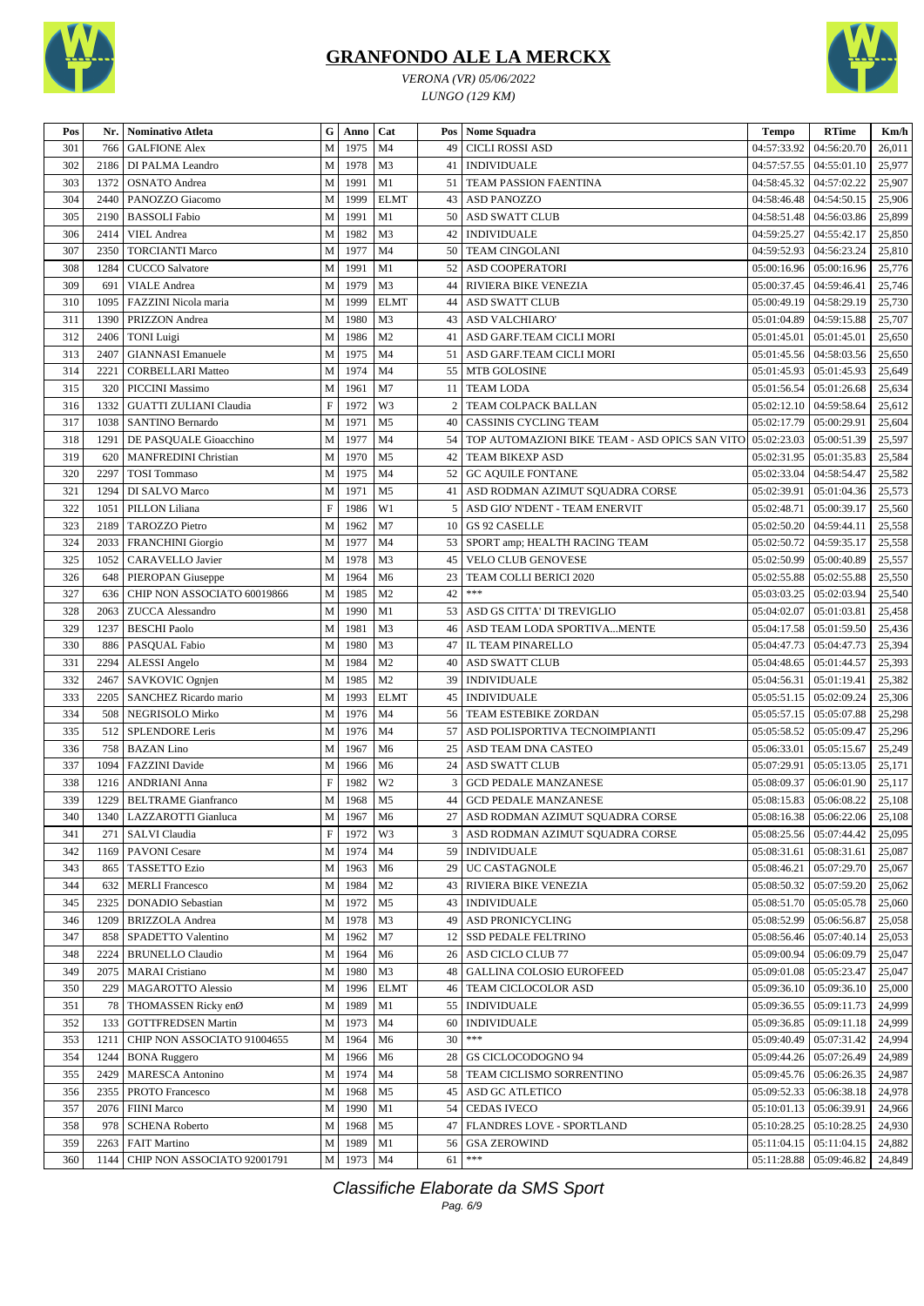



*VERONA (VR) 05/06/2022 LUNGO (129 KM)*

| Pos        | Nr.          | <b>Nominativo Atleta</b>                  | G                         | Anno         | Cat                              |                | Pos   Nome Squadra                                         | <b>Tempo</b> | <b>RTime</b>                  | Km/h             |
|------------|--------------|-------------------------------------------|---------------------------|--------------|----------------------------------|----------------|------------------------------------------------------------|--------------|-------------------------------|------------------|
| 301        | 766          | <b>GALFIONE Alex</b>                      | M                         | 1975         | M <sub>4</sub>                   | 49             | <b>CICLI ROSSI ASD</b>                                     | 04:57:33.92  | 04:56:20.70                   | 26,011           |
| 302        | 2186         | DI PALMA Leandro                          | M                         | 1978         | M <sub>3</sub>                   | 41             | <b>INDIVIDUALE</b>                                         | 04:57:57.55  | 04:55:01.10                   | 25,977           |
| 303        | 1372         | <b>OSNATO</b> Andrea                      | M                         | 1991         | M1                               | 51             | TEAM PASSION FAENTINA                                      | 04:58:45.32  | 04:57:02.22                   | 25,907           |
| 304        | 2440         | PANOZZO Giacomo                           | $\mathbf M$               | 1999         | <b>ELMT</b>                      | 43             | <b>ASD PANOZZO</b>                                         | 04:58:46.48  | 04:54:50.15                   | 25,906           |
| 305        | 2190         | <b>BASSOLI</b> Fabio                      | M                         | 1991         | M1                               | 50             | <b>ASD SWATT CLUB</b>                                      | 04:58:51.48  | 04:56:03.86                   | 25,899           |
| 306        | 2414         | <b>VIEL</b> Andrea                        | M                         | 1982         | M <sub>3</sub>                   | 42             | <b>INDIVIDUALE</b>                                         | 04:59:25.27  | 04:55:42.17                   | 25,850           |
| 307        | 2350         | <b>TORCIANTI Marco</b>                    | $\mathbf M$               | 1977         | M <sub>4</sub>                   | 50             | <b>TEAM CINGOLANI</b>                                      | 04:59:52.93  | 04:56:23.24                   | 25,810           |
| 308        | 1284         | <b>CUCCO</b> Salvatore                    | $\mathbf M$               | 1991         | M1                               | 52             | ASD COOPERATORI                                            | 05:00:16.96  | 05:00:16.96                   | 25,776           |
| 309        | 691          | <b>VIALE</b> Andrea                       | M                         | 1979         | M3                               | 44             | RIVIERA BIKE VENEZIA                                       | 05:00:37.45  | 04:59:46.41                   | 25,746           |
| 310        | 1095         | FAZZINI Nicola maria                      | M                         | 1999         | <b>ELMT</b>                      | 44             | <b>ASD SWATT CLUB</b>                                      | 05:00:49.19  | 04:58:29.19                   | 25,730           |
| 311        | 1390         | PRIZZON Andrea                            | M                         | 1980         | M3                               | 43             | ASD VALCHIARO'                                             | 05:01:04.89  | 04:59:15.88                   | 25,707           |
| 312        | 2406         | <b>TONI</b> Luigi                         | M                         | 1986         | M <sub>2</sub>                   | 41             | ASD GARF.TEAM CICLI MORI                                   | 05:01:45.01  | 05:01:45.01                   | 25,650           |
| 313        | 2407         | <b>GIANNASI</b> Emanuele                  | M                         | 1975         | M <sub>4</sub>                   | 51 I           | ASD GARF.TEAM CICLI MORI                                   | 05:01:45.56  | 04:58:03.56                   | 25,650           |
| 314        | 2221         | <b>CORBELLARI Matteo</b>                  | $\mathbf M$               | 1974         | M <sub>4</sub>                   | 55             | MTB GOLOSINE                                               | 05:01:45.93  | 05:01:45.93                   | 25,649           |
| 315        | 320          | <b>PICCINI Massimo</b>                    | M                         | 1961         | M <sub>7</sub>                   | 11             | <b>TEAM LODA</b>                                           | 05:01:56.54  | 05:01:26.68                   | 25,634           |
| 316        | 1332         | <b>GUATTI ZULIANI Claudia</b>             | $\boldsymbol{\mathrm{F}}$ | 1972         | W3                               | $\overline{c}$ | TEAM COLPACK BALLAN                                        | 05:02:12.10  | 04:59:58.64                   | 25,612           |
| 317        | 1038         | SANTINO Bernardo                          | M                         | 1971         | M <sub>5</sub>                   | 40             | CASSINIS CYCLING TEAM                                      | 05:02:17.79  | 05:00:29.91                   | 25,604           |
| 318        | 1291         | DE PASQUALE Gioacchino                    | M                         | 1977         | M <sub>4</sub>                   | 54             | TOP AUTOMAZIONI BIKE TEAM - ASD OPICS SAN VITO 05:02:23.03 |              | 05:00:51.39                   | 25,597           |
| 319        | 620          | <b>MANFREDINI Christian</b>               | M                         | 1970         | M <sub>5</sub>                   | 42             | TEAM BIKEXP ASD                                            | 05:02:31.95  | 05:01:35.83                   | 25,584           |
| 320        | 2297         | <b>TOSI</b> Tommaso                       | M                         | 1975         | M <sub>4</sub>                   | 52             | <b>GC AQUILE FONTANE</b>                                   | 05:02:33.04  | 04:58:54.47                   | 25,582           |
| 321        | 1294         | DI SALVO Marco                            | M                         | 1971         | M <sub>5</sub>                   | 41             | ASD RODMAN AZIMUT SQUADRA CORSE                            | 05:02:39.91  | 05:01:04.36                   | 25,573           |
| 322        | 1051         | PILLON Liliana                            | $\mathbf F$               | 1986         | W1                               | 5              | ASD GIO' N'DENT - TEAM ENERVIT                             | 05:02:48.71  | 05:00:39.17                   | 25,560           |
| 323        | 2189         | <b>TAROZZO Pietro</b>                     | M                         | 1962         | M <sub>7</sub>                   | 10             | <b>GS 92 CASELLE</b>                                       | 05:02:50.20  | 04:59:44.11                   | 25,558           |
| 324        | 2033         | <b>FRANCHINI</b> Giorgio                  | М                         | 1977         | M <sub>4</sub>                   |                | 53   SPORT amp; HEALTH RACING TEAM                         | 05:02:50.72  | 04:59:35.17                   | 25,558           |
| 325        | 1052         | CARAVELLO Javier                          | M                         | 1978         | M3                               | 45             | <b>VELO CLUB GENOVESE</b>                                  | 05:02:50.99  | 05:00:40.89                   | 25,557           |
| 326        | 648          | PIEROPAN Giuseppe                         | $\mathbf M$               | 1964         | M <sub>6</sub>                   | 23             | TEAM COLLI BERICI 2020                                     | 05:02:55.88  | 05:02:55.88                   | 25,550           |
| 327        | 636          | CHIP NON ASSOCIATO 60019866               | $\mathbf M$               | 1985         | M <sub>2</sub>                   | 42             | $***$                                                      | 05:03:03.25  | 05:02:03.94                   | 25,540           |
| 328        | 2063         | <b>ZUCCA</b> Alessandro                   | M                         | 1990         | M1                               | 53             | ASD GS CITTA' DI TREVIGLIO                                 | 05:04:02.07  | 05:01:03.81                   | 25,458           |
| 329        | 1237         | <b>BESCHI Paolo</b>                       | $\mathbf M$               | 1981         | M <sub>3</sub>                   | 46             | ASD TEAM LODA SPORTIVAMENTE                                | 05:04:17.58  | 05:01:59.50                   | 25,436           |
| 330        | 886          |                                           | M                         | 1980         | M <sub>3</sub>                   | 47             | IL TEAM PINARELLO                                          | 05:04:47.73  | 05:04:47.73                   | 25,394           |
| 331        | 2294         | PASQUAL Fabio<br>ALESSI Angelo            | M                         | 1984         | M <sub>2</sub>                   | 40             | ASD SWATT CLUB                                             | 05:04:48.65  | 05:01:44.57                   | 25,393           |
|            |              |                                           | $\mathbf M$               | 1985         | M <sub>2</sub>                   | 39             |                                                            |              |                               |                  |
| 332<br>333 | 2467<br>2205 | SAVKOVIC Ognjen<br>SANCHEZ Ricardo mario  | $\mathbf M$               | 1993         | <b>ELMT</b>                      | 45             | <b>INDIVIDUALE</b><br><b>INDIVIDUALE</b>                   | 05:04:56.31  | 05:01:19.41<br>05:02:09.24    | 25,382<br>25,306 |
|            |              |                                           |                           |              |                                  |                |                                                            | 05:05:51.15  |                               |                  |
| 334        | 508          | NEGRISOLO Mirko<br><b>SPLENDORE Leris</b> | M<br>M                    | 1976<br>1976 | M <sub>4</sub><br>M <sub>4</sub> | 56             | TEAM ESTEBIKE ZORDAN                                       | 05:05:57.15  | 05:05:07.88                   | 25,298           |
| 335        | 512          |                                           |                           |              |                                  | 57             | ASD POLISPORTIVA TECNOIMPIANTI                             | 05:05:58.52  | 05:05:09.47                   | 25,296           |
| 336        | 758<br>1094  | <b>BAZAN</b> Lino                         | M                         | 1967         | M <sub>6</sub>                   | 25             | ASD TEAM DNA CASTEO<br><b>ASD SWATT CLUB</b>               | 05:06:33.01  | 05:05:15.67                   | 25,249           |
| 337        |              | <b>FAZZINI</b> Davide                     | M                         | 1966         | M <sub>6</sub>                   | 24             |                                                            | 05:07:29.91  | 05:05:13.05                   | 25,171           |
| 338        | 1216         | <b>ANDRIANI Anna</b>                      | $\boldsymbol{\mathrm{F}}$ | 1982         | W <sub>2</sub>                   | 3              | <b>GCD PEDALE MANZANESE</b>                                | 05:08:09.37  | 05:06:01.90                   | 25,117           |
| 339        | 1229         | <b>BELTRAME Gianfranco</b>                | M                         | 1968         | M <sub>5</sub>                   | 44             | <b>GCD PEDALE MANZANESE</b>                                |              | $05:08:15.83$   $05:06:08.22$ | 25,108           |
| 340        | 1340         | LAZZAROTTI Gianluca                       | $\mathbf{M}$              | 1967         | M <sub>6</sub>                   |                | 27 ASD RODMAN AZIMUT SQUADRA CORSE                         |              | 05:08:16.38 05:06:22.06       | 25,108           |
| 341        | 271          | <b>SALVI</b> Claudia                      | F                         | 1972         | W3                               |                | 3 ASD RODMAN AZIMUT SOUADRA CORSE                          |              | $05:08:25.56$   $05:07:44.42$ | 25,095           |
| 342        | 1169         | <b>PAVONI</b> Cesare                      | M                         | 1974         | M <sub>4</sub>                   |                | 59   INDIVIDUALE                                           | 05:08:31.61  | 05:08:31.61                   | 25,087           |
| 343        | 865          | <b>TASSETTO Ezio</b>                      | М                         | 1963         | M <sub>6</sub>                   |                | 29   UC CASTAGNOLE                                         | 05:08:46.21  | 05:07:29.70                   | 25,067           |
| 344        | 632          | <b>MERLI Francesco</b>                    | M                         | 1984         | M <sub>2</sub>                   |                | <b>43 RIVIERA BIKE VENEZIA</b>                             | 05:08:50.32  | 05:07:59.20                   | 25,062           |
| 345        | 2325         | <b>DONADIO</b> Sebastian                  | M                         | 1972         | M <sub>5</sub>                   |                | 43   INDIVIDUALE                                           | 05:08:51.70  | 05:05:05.78                   | 25,060           |
| 346        | 1209         | <b>BRIZZOLA</b> Andrea                    | M                         | 1978         | M <sub>3</sub>                   |                | 49 ASD PRONICYCLING                                        | 05:08:52.99  | 05:06:56.87                   | 25,058           |
| 347        | 858          | SPADETTO Valentino                        | M                         | 1962         | M7                               |                | 12 SSD PEDALE FELTRINO                                     | 05:08:56.46  | 05:07:40.14                   | 25,053           |
| 348        | 2224         | <b>BRUNELLO Claudio</b>                   | M                         | 1964         | M <sub>6</sub>                   |                | 26   ASD CICLO CLUB 77                                     | 05:09:00.94  | 05:06:09.79                   | 25,047           |
| 349        | 2075         | <b>MARAI</b> Cristiano                    | М                         | 1980         | M <sub>3</sub>                   |                | 48   GALLINA COLOSIO EUROFEED                              | 05:09:01.08  | 05:05:23.47                   | 25,047           |
| 350        | 229          | <b>MAGAROTTO Alessio</b>                  | M                         | 1996         | <b>ELMT</b>                      |                | 46 TEAM CICLOCOLOR ASD                                     | 05:09:36.10  | 05:09:36.10                   | 25,000           |
| 351        | 78           | THOMASSEN Ricky enØ                       | M                         | 1989         | M1                               |                | 55   INDIVIDUALE                                           | 05:09:36.55  | 05:09:11.73                   | 24,999           |
| 352        | 133          | <b>GOTTFREDSEN Martin</b>                 | M                         | 1973         | M4                               | 60             | <b>INDIVIDUALE</b>                                         | 05:09:36.85  | 05:09:11.18                   | 24,999           |
| 353        | 1211         | CHIP NON ASSOCIATO 91004655               | M                         | 1964         | M <sub>6</sub>                   | 30             | $***$                                                      | 05:09:40.49  | 05:07:31.42                   | 24,994           |
| 354        | 1244         | <b>BONA Ruggero</b>                       | M                         | 1966         | M <sub>6</sub>                   | 28             | GS CICLOCODOGNO 94                                         | 05:09:44.26  | 05:07:26.49                   | 24,989           |
| 355        | 2429         | <b>MARESCA Antonino</b>                   | М                         | 1974         | M4                               |                | 58   TEAM CICLISMO SORRENTINO                              | 05:09:45.76  | 05:06:26.35                   | 24,987           |
| 356        | 2355         | PROTO Francesco                           | М                         | 1968         | M <sub>5</sub>                   |                | 45   ASD GC ATLETICO                                       | 05:09:52.33  | 05:06:38.18                   | 24,978           |
| 357        | 2076         | <b>FIINI Marco</b>                        | M                         | 1990         | M1                               |                | 54   CEDAS IVECO                                           | 05:10:01.13  | 05:06:39.91                   | 24,966           |
| 358        | 978          | <b>SCHENA Roberto</b>                     | M                         | 1968         | M <sub>5</sub>                   |                | 47   FLANDRES LOVE - SPORTLAND                             | 05:10:28.25  | 05:10:28.25                   | 24,930           |
| 359        | 2263         | <b>FAIT Martino</b>                       | M                         | 1989         | M1                               | 56             | <b>GSA ZEROWIND</b>                                        | 05:11:04.15  | 05:11:04.15                   | 24,882           |
| 360        | 1144         | CHIP NON ASSOCIATO 92001791               | M                         | 1973         | M4                               | 61             | ***                                                        | 05:11:28.88  | 05:09:46.82                   | 24,849           |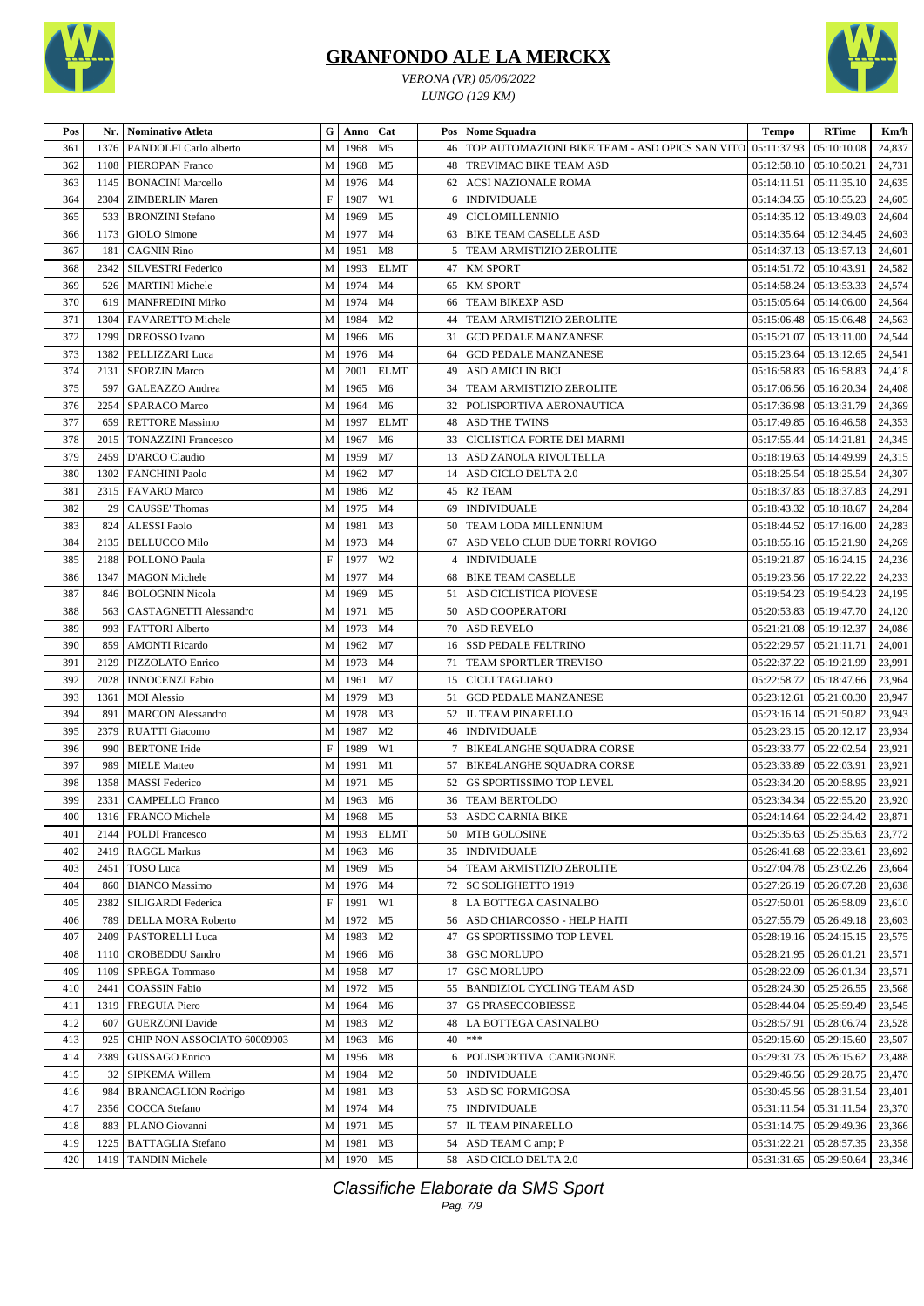





| /ERONA (VR) 05/06/202. |
|------------------------|
| $IINICA$ (190 $VIM$    |

| Pos |      | Nr.   Nominativo Atleta       | G            | Anno      | Cat            |                 | Pos Nome Squadra                                    | <b>Tempo</b> | <b>RTime</b>                   | Km/h   |
|-----|------|-------------------------------|--------------|-----------|----------------|-----------------|-----------------------------------------------------|--------------|--------------------------------|--------|
| 361 | 1376 | PANDOLFI Carlo alberto        | M            | 1968      | M <sub>5</sub> |                 | 46   TOP AUTOMAZIONI BIKE TEAM - ASD OPICS SAN VITO | 05:11:37.93  | 05:10:10.08                    | 24,837 |
| 362 | 1108 | PIEROPAN Franco               | M            | 1968      | M <sub>5</sub> |                 | 48   TREVIMAC BIKE TEAM ASD                         | 05:12:58.10  | 05:10:50.21                    | 24,731 |
| 363 | 1145 | <b>BONACINI Marcello</b>      | $\mathbf M$  | 1976      | M <sub>4</sub> | 62 <sub>1</sub> | <b>ACSI NAZIONALE ROMA</b>                          | 05:14:11.51  | 05:11:35.10                    | 24,635 |
| 364 | 2304 | <b>ZIMBERLIN</b> Maren        | $\mathbf F$  | 1987      | W1             | 6               | <b>INDIVIDUALE</b>                                  | 05:14:34.55  | 05:10:55.23                    | 24,605 |
| 365 | 533  | <b>BRONZINI</b> Stefano       | M            | 1969      | M <sub>5</sub> | 49              | <b>CICLOMILLENNIO</b>                               | 05:14:35.12  | 05:13:49.03                    | 24,604 |
| 366 | 1173 | GIOLO Simone                  | $\mathbf M$  | 1977      | M <sub>4</sub> |                 | 63 BIKE TEAM CASELLE ASD                            | 05:14:35.64  | 05:12:34.45                    | 24,603 |
| 367 | 181  | <b>CAGNIN Rino</b>            | M            | 1951      | M8             | 5 <sup>1</sup>  | TEAM ARMISTIZIO ZEROLITE                            | 05:14:37.13  | 05:13:57.13                    | 24,601 |
| 368 | 2342 | SILVESTRI Federico            | M            | 1993      | <b>ELMT</b>    |                 | 47   KM SPORT                                       | 05:14:51.72  | 05:10:43.91                    | 24,582 |
| 369 |      | 526   MARTINI Michele         | $\mathbf M$  | 1974      | M <sub>4</sub> |                 | 65 KM SPORT                                         | 05:14:58.24  | 05:13:53.33                    | 24,574 |
| 370 | 619  | <b>MANFREDINI Mirko</b>       | $\mathbf{M}$ | 1974      | M <sub>4</sub> | 66              | TEAM BIKEXP ASD                                     | 05:15:05.64  | 05:14:06.00                    | 24,564 |
| 371 | 1304 | <b>FAVARETTO Michele</b>      | M            | 1984      | M <sub>2</sub> | 44              | TEAM ARMISTIZIO ZEROLITE                            | 05:15:06.48  | 05:15:06.48                    | 24,563 |
| 372 | 1299 | <b>DREOSSO</b> Ivano          | $\mathbf{M}$ | 1966      | M <sub>6</sub> | 31              | <b>GCD PEDALE MANZANESE</b>                         | 05:15:21.07  | 05:13:11.00                    | 24,544 |
| 373 | 1382 | PELLIZZARI Luca               | M            | 1976      | M <sub>4</sub> | 64              | <b>GCD PEDALE MANZANESE</b>                         | 05:15:23.64  | 05:13:12.65                    | 24,541 |
| 374 | 2131 | <b>SFORZIN Marco</b>          | M            | 2001      | <b>ELMT</b>    |                 | 49 ASD AMICI IN BICI                                | 05:16:58.83  | 05:16:58.83                    | 24,418 |
| 375 | 597  | GALEAZZO Andrea               | M            | 1965      | M <sub>6</sub> |                 | 34   TEAM ARMISTIZIO ZEROLITE                       | 05:17:06.56  | 05:16:20.34                    | 24,408 |
| 376 | 2254 | SPARACO Marco                 | M            | 1964      | M <sub>6</sub> | 32              | POLISPORTIVA AERONAUTICA                            | 05:17:36.98  | 05:13:31.79                    | 24,369 |
| 377 | 659  | <b>RETTORE Massimo</b>        | $\mathbf{M}$ | 1997      | <b>ELMT</b>    | 48              | <b>ASD THE TWINS</b>                                | 05:17:49.85  | 05:16:46.58                    | 24,353 |
| 378 | 2015 | <b>TONAZZINI Francesco</b>    | $\mathbf{M}$ | 1967      | M <sub>6</sub> | 33 <sup>1</sup> | CICLISTICA FORTE DEI MARMI                          | 05:17:55.44  | 05:14:21.81                    | 24,345 |
| 379 | 2459 | D'ARCO Claudio                | M            | 1959      | M <sub>7</sub> |                 | 13 ASD ZANOLA RIVOLTELLA                            | 05:18:19.63  | 05:14:49.99                    | 24,315 |
| 380 | 1302 | <b>FANCHINI Paolo</b>         | M            | 1962      | M <sub>7</sub> | 14              | ASD CICLO DELTA 2.0                                 | 05:18:25.54  | 05:18:25.54                    | 24,307 |
| 381 | 2315 | <b>FAVARO</b> Marco           | M            | 1986      | M <sub>2</sub> |                 | 45 R2 TEAM                                          | 05:18:37.83  | 05:18:37.83                    | 24,291 |
| 382 | 29   | <b>CAUSSE' Thomas</b>         | $\mathbf M$  | 1975      | M <sub>4</sub> | 69              | <b>INDIVIDUALE</b>                                  | 05:18:43.32  | 05:18:18.67                    | 24,284 |
| 383 | 824  | <b>ALESSI Paolo</b>           | M            | 1981      | M <sub>3</sub> |                 | 50   TEAM LODA MILLENNIUM                           | 05:18:44.52  | 05:17:16.00                    | 24,283 |
| 384 | 2135 | <b>BELLUCCO Milo</b>          | M            | 1973      | M <sub>4</sub> | 67              | ASD VELO CLUB DUE TORRI ROVIGO                      | 05:18:55.16  | 05:15:21.90                    | 24,269 |
| 385 | 2188 | POLLONO Paula                 | $\mathbf F$  | 1977      | W <sub>2</sub> |                 | 4   INDIVIDUALE                                     | 05:19:21.87  | 05:16:24.15                    | 24,236 |
| 386 | 1347 | <b>MAGON</b> Michele          | M            | 1977      | M <sub>4</sub> |                 | 68 BIKE TEAM CASELLE                                | 05:19:23.56  | 05:17:22.22                    | 24,233 |
| 387 | 846  | <b>BOLOGNIN Nicola</b>        | M            | 1969      | M <sub>5</sub> |                 | 51   ASD CICLISTICA PIOVESE                         | 05:19:54.23  | 05:19:54.23                    | 24,195 |
| 388 | 563  | <b>CASTAGNETTI Alessandro</b> | M            | 1971      | M <sub>5</sub> |                 | 50 ASD COOPERATORI                                  | 05:20:53.83  | 05:19:47.70                    | 24,120 |
| 389 | 993  | <b>FATTORI</b> Alberto        | M            | 1973      | M <sub>4</sub> |                 | 70 ASD REVELO                                       | 05:21:21.08  | 05:19:12.37                    | 24,086 |
| 390 | 859  | <b>AMONTI Ricardo</b>         | M            | 1962      | M <sub>7</sub> |                 | 16 SSD PEDALE FELTRINO                              | 05:22:29.57  | 05:21:11.71                    | 24,001 |
| 391 | 2129 | PIZZOLATO Enrico              | $\mathbf M$  | 1973      | M <sub>4</sub> |                 | 71   TEAM SPORTLER TREVISO                          | 05:22:37.22  | 05:19:21.99                    | 23,991 |
| 392 | 2028 | <b>INNOCENZI Fabio</b>        | M            | 1961      | M <sub>7</sub> |                 | 15 CICLI TAGLIARO                                   | 05:22:58.72  | 05:18:47.66                    | 23,964 |
| 393 | 1361 | <b>MOI</b> Alessio            | M            | 1979      | M <sub>3</sub> |                 | 51 GCD PEDALE MANZANESE                             | 05:23:12.61  | 05:21:00.30                    | 23,947 |
| 394 | 891  | <b>MARCON</b> Alessandro      | $\mathbf{M}$ | 1978      | M <sub>3</sub> |                 | 52   IL TEAM PINARELLO                              | 05:23:16.14  | 05:21:50.82                    | 23,943 |
| 395 | 2379 | <b>RUATTI Giacomo</b>         | M            | 1987      | M <sub>2</sub> |                 | 46   INDIVIDUALE                                    | 05:23:23.15  | 05:20:12.17                    | 23,934 |
| 396 | 990  | <b>BERTONE</b> Iride          | $\mathbf F$  | 1989      | W1             | $7\overline{ }$ | BIKE4LANGHE SQUADRA CORSE                           | 05:23:33.77  | 05:22:02.54                    | 23,921 |
| 397 | 989  | <b>MIELE Matteo</b>           | M            | 1991      | M1             |                 | 57   BIKE4LANGHE SQUADRA CORSE                      | 05:23:33.89  | 05:22:03.91                    | 23,921 |
| 398 | 1358 | <b>MASSI</b> Federico         | $\mathbf M$  | 1971      | M <sub>5</sub> | 52              | GS SPORTISSIMO TOP LEVEL                            | 05:23:34.20  | 05:20:58.95                    | 23,921 |
| 399 | 2331 | <b>CAMPELLO</b> Franco        | $\mathbf M$  | 1963      | M <sub>6</sub> |                 | <b>36 TEAM BERTOLDO</b>                             |              | 05:23:34.34   05:22:55.20      | 23,920 |
| 400 |      | 1316 FRANCO Michele           |              | M 1968 M5 |                |                 | 53 ASDC CARNIA BIKE                                 |              | 05:24:14.64 05:22:24.42 23,871 |        |
| 401 | 2144 | <b>POLDI</b> Francesco        | M            | 1993      | <b>ELMT</b>    |                 | 50   MTB GOLOSINE                                   |              | 05:25:35.63   05:25:35.63      | 23,772 |
| 402 | 2419 | <b>RAGGL Markus</b>           | $\mathbf M$  | 1963      | M6             |                 | 35   INDIVIDUALE                                    | 05:26:41.68  | 05:22:33.61                    | 23,692 |
| 403 | 2451 | TOSO Luca                     | $\mathbf M$  | 1969      | M5             |                 | 54 TEAM ARMISTIZIO ZEROLITE                         | 05:27:04.78  | 05:23:02.26                    | 23,664 |
| 404 | 860  | <b>BIANCO</b> Massimo         | $\mathbf M$  | 1976      | M <sub>4</sub> |                 | 72   SC SOLIGHETTO 1919                             | 05:27:26.19  | 05:26:07.28                    | 23,638 |
| 405 | 2382 | SILIGARDI Federica            | $\mathbf F$  | 1991      | W1             |                 | 8 LA BOTTEGA CASINALBO                              | 05:27:50.01  | 05:26:58.09                    | 23,610 |
| 406 | 789  | DELLA MORA Roberto            | M            | 1972      | M <sub>5</sub> |                 | 56   ASD CHIARCOSSO - HELP HAITI                    | 05:27:55.79  | 05:26:49.18                    | 23,603 |
| 407 | 2409 | PASTORELLI Luca               | $\mathbf M$  | 1983      | M <sub>2</sub> |                 | 47 GS SPORTISSIMO TOP LEVEL                         | 05:28:19.16  | 05:24:15.15                    | 23,575 |
| 408 | 1110 | <b>CROBEDDU Sandro</b>        | M            | 1966      | M <sub>6</sub> |                 | 38 GSC MORLUPO                                      | 05:28:21.95  | 05:26:01.21                    | 23,571 |
| 409 | 1109 | SPREGA Tommaso                | $\mathbf M$  | 1958      | M7             |                 | 17 GSC MORLUPO                                      | 05:28:22.09  | 05:26:01.34                    | 23,571 |
| 410 | 2441 | <b>COASSIN Fabio</b>          | $\mathbf M$  | 1972      | M <sub>5</sub> |                 | 55   BANDIZIOL CYCLING TEAM ASD                     |              | 05:28:24.30   05:25:26.55      | 23,568 |
| 411 | 1319 | <b>FREGUIA Piero</b>          | $\mathbf M$  | 1964      | M <sub>6</sub> |                 | 37   GS PRASECCOBIESSE                              | 05:28:44.04  | 05:25:59.49                    | 23,545 |
| 412 | 607  | <b>GUERZONI</b> Davide        | $\mathbf M$  | 1983      | M <sub>2</sub> |                 | 48 LA BOTTEGA CASINALBO                             | 05:28:57.91  | 05:28:06.74                    | 23,528 |
| 413 | 925  | CHIP NON ASSOCIATO 60009903   | $\mathbf M$  | 1963      | M <sub>6</sub> | 40              | $***$                                               | 05:29:15.60  | 05:29:15.60                    | 23,507 |
| 414 | 2389 | GUSSAGO Enrico                | $\mathbf M$  | 1956      | M8             |                 | 6 POLISPORTIVA CAMIGNONE                            | 05:29:31.73  | 05:26:15.62                    | 23,488 |
| 415 | 32   | SIPKEMA Willem                | M            | 1984      | M <sub>2</sub> |                 | 50   INDIVIDUALE                                    | 05:29:46.56  | 05:29:28.75                    | 23,470 |
| 416 | 984  | <b>BRANCAGLION Rodrigo</b>    | M            | 1981      | M <sub>3</sub> |                 | 53 ASD SC FORMIGOSA                                 | 05:30:45.56  | 05:28:31.54                    | 23,401 |
| 417 | 2356 | COCCA Stefano                 | $\mathbf M$  | 1974      | M4             |                 | 75   INDIVIDUALE                                    | 05:31:11.54  | 05:31:11.54                    | 23,370 |
| 418 | 883  | PLANO Giovanni                | $\mathbf M$  | 1971      | M <sub>5</sub> |                 | 57   IL TEAM PINARELLO                              | 05:31:14.75  | 05:29:49.36                    | 23,366 |
| 419 | 1225 | <b>BATTAGLIA Stefano</b>      | M            | 1981      | M <sub>3</sub> |                 | 54   ASD TEAM C amp; P                              | 05:31:22.21  | 05:28:57.35                    | 23,358 |
| 420 |      | 1419   TANDIN Michele         |              | M 1970    | M <sub>5</sub> |                 | 58 ASD CICLO DELTA 2.0                              |              | 05:31:31.65   05:29:50.64      | 23,346 |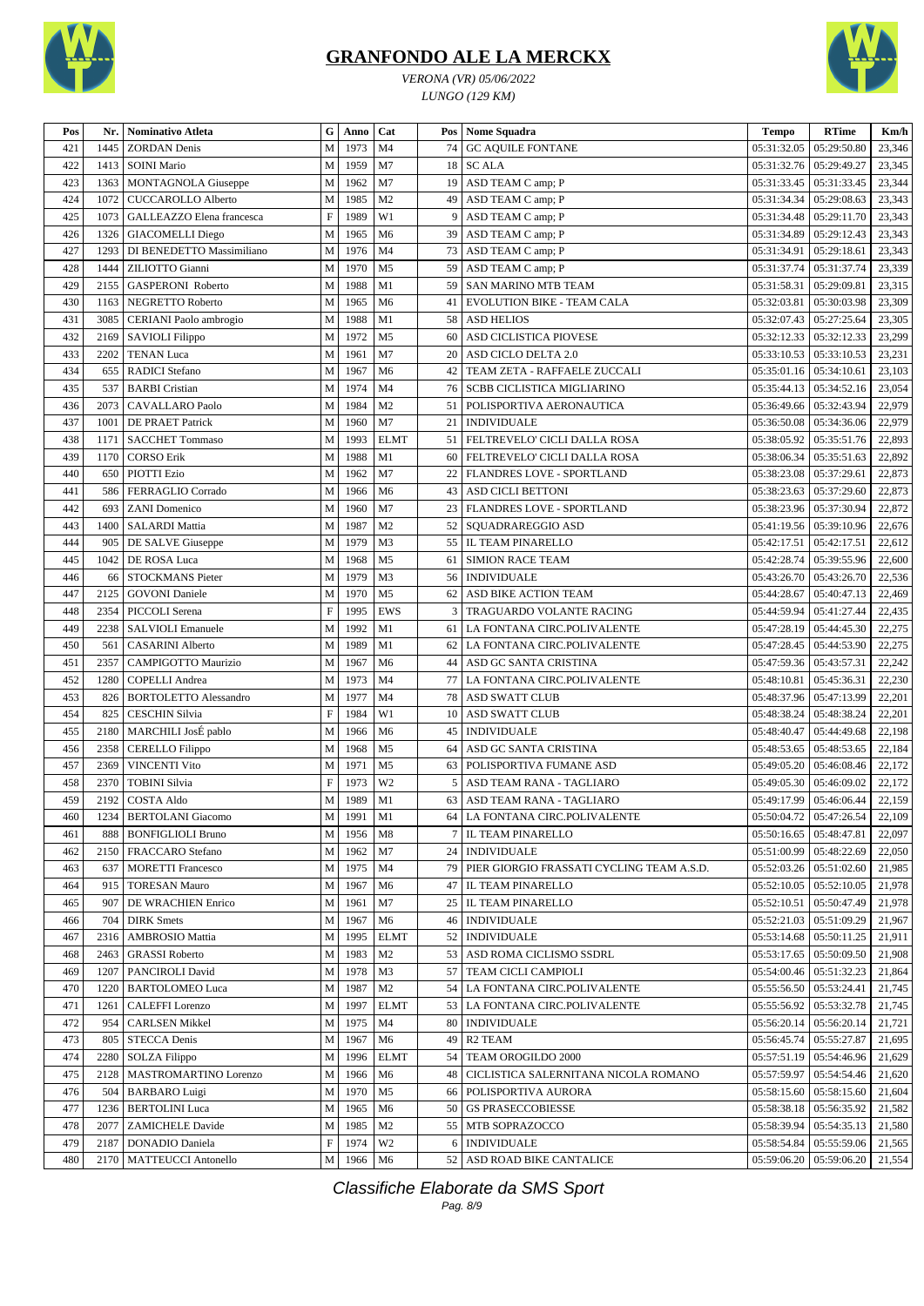

*VERONA (VR) 05/06/2022 LUNGO (129 KM)*



| Pos | Nr.  | <b>Nominativo Atleta</b>     | G                         | Anno | Cat            |                 | Pos Nome Squadra                          | <b>Tempo</b> | <b>RTime</b>                  | Km/h   |
|-----|------|------------------------------|---------------------------|------|----------------|-----------------|-------------------------------------------|--------------|-------------------------------|--------|
| 421 | 1445 | <b>ZORDAN</b> Denis          | M                         | 1973 | M <sub>4</sub> | 74              | <b>GC AQUILE FONTANE</b>                  | 05:31:32.05  | 05:29:50.80                   | 23,346 |
| 422 | 1413 | <b>SOINI Mario</b>           | M                         | 1959 | M7             |                 | 18 SC ALA                                 | 05:31:32.76  | 05:29:49.27                   | 23,345 |
| 423 | 1363 | MONTAGNOLA Giuseppe          | M                         | 1962 | M <sub>7</sub> | 19              | ASD TEAM C amp; P                         | 05:31:33.45  | 05:31:33.45                   | 23,344 |
| 424 | 1072 | <b>CUCCAROLLO Alberto</b>    | M                         | 1985 | M <sub>2</sub> | 49              | ASD TEAM C amp; P                         | 05:31:34.34  | 05:29:08.63                   | 23,343 |
| 425 | 1073 | GALLEAZZO Elena francesca    | $\boldsymbol{\mathrm{F}}$ | 1989 | W1             | 9               | ASD TEAM C amp; P                         | 05:31:34.48  | 05:29:11.70                   | 23,343 |
| 426 | 1326 | <b>GIACOMELLI Diego</b>      | M                         | 1965 | M6             | 39              | ASD TEAM C amp; P                         | 05:31:34.89  | 05:29:12.43                   | 23,343 |
| 427 | 1293 | DI BENEDETTO Massimiliano    | M                         | 1976 | M <sub>4</sub> | 73              | ASD TEAM C amp; P                         | 05:31:34.91  | 05:29:18.61                   | 23,343 |
| 428 | 1444 | ZILIOTTO Gianni              | M                         | 1970 | M <sub>5</sub> | 59              | ASD TEAM C amp; P                         | 05:31:37.74  | 05:31:37.74                   | 23,339 |
| 429 | 2155 | GASPERONI Roberto            | M                         | 1988 | M1             | 59              | SAN MARINO MTB TEAM                       | 05:31:58.31  | 05:29:09.81                   | 23,315 |
| 430 | 1163 | NEGRETTO Roberto             | M                         | 1965 | M <sub>6</sub> | 41              | <b>EVOLUTION BIKE - TEAM CALA</b>         | 05:32:03.81  | 05:30:03.98                   | 23,309 |
| 431 | 3085 | CERIANI Paolo ambrogio       | M                         | 1988 | M1             | 58              | <b>ASD HELIOS</b>                         | 05:32:07.43  | 05:27:25.64                   | 23,305 |
| 432 | 2169 | SAVIOLI Filippo              | M                         | 1972 | M <sub>5</sub> | 60              | ASD CICLISTICA PIOVESE                    | 05:32:12.33  | 05:32:12.33                   | 23,299 |
| 433 | 2202 | <b>TENAN Luca</b>            | M                         | 1961 | M7             | 20              | ASD CICLO DELTA 2.0                       | 05:33:10.53  | 05:33:10.53                   | 23,231 |
| 434 | 655  | <b>RADICI</b> Stefano        | M                         | 1967 | M <sub>6</sub> | 42              | TEAM ZETA - RAFFAELE ZUCCALI              | 05:35:01.16  | 05:34:10.61                   | 23,103 |
| 435 | 537  | <b>BARBI</b> Cristian        | M                         | 1974 | M <sub>4</sub> | 76              | <b>SCBB CICLISTICA MIGLIARINO</b>         | 05:35:44.13  | 05:34:52.16                   | 23,054 |
| 436 | 2073 | <b>CAVALLARO</b> Paolo       | M                         | 1984 | M <sub>2</sub> | 51              | POLISPORTIVA AERONAUTICA                  | 05:36:49.66  | 05:32:43.94                   | 22,979 |
| 437 | 1001 | <b>DE PRAET Patrick</b>      | M                         | 1960 | M7             | 21              | <b>INDIVIDUALE</b>                        | 05:36:50.08  | 05:34:36.06                   | 22,979 |
| 438 | 1171 | <b>SACCHET Tommaso</b>       | M                         | 1993 | <b>ELMT</b>    | 51              | FELTREVELO' CICLI DALLA ROSA              | 05:38:05.92  | 05:35:51.76                   | 22,893 |
| 439 | 1170 | <b>CORSO Erik</b>            | M                         | 1988 | M1             | 60              | FELTREVELO' CICLI DALLA ROSA              | 05:38:06.34  | 05:35:51.63                   | 22,892 |
| 440 | 650  | PIOTTI Ezio                  | M                         | 1962 | M7             | 22              | FLANDRES LOVE - SPORTLAND                 | 05:38:23.08  | 05:37:29.61                   | 22,873 |
| 441 | 586  | FERRAGLIO Corrado            | M                         | 1966 | M <sub>6</sub> | 43              | ASD CICLI BETTONI                         | 05:38:23.63  | 05:37:29.60                   | 22,873 |
| 442 | 693  | <b>ZANI</b> Domenico         | M                         | 1960 | M7             | 23              | FLANDRES LOVE - SPORTLAND                 | 05:38:23.96  | 05:37:30.94                   | 22,872 |
| 443 | 1400 | <b>SALARDI</b> Mattia        | M                         | 1987 | M <sub>2</sub> | 52              | SQUADRAREGGIO ASD                         | 05:41:19.56  | 05:39:10.96                   | 22,676 |
| 444 | 905  | DE SALVE Giuseppe            | M                         | 1979 | M <sub>3</sub> | 55              | IL TEAM PINARELLO                         | 05:42:17.51  | 05:42:17.51                   | 22,612 |
| 445 | 1042 | DE ROSA Luca                 | M                         | 1968 | M <sub>5</sub> | 61              | <b>SIMION RACE TEAM</b>                   | 05:42:28.74  | 05:39:55.96                   | 22,600 |
| 446 | 66   | STOCKMANS Pieter             | M                         | 1979 | M3             | 56              | <b>INDIVIDUALE</b>                        | 05:43:26.70  | 05:43:26.70                   | 22,536 |
| 447 | 2125 | <b>GOVONI</b> Daniele        | M                         | 1970 | M <sub>5</sub> | 62              | ASD BIKE ACTION TEAM                      | 05:44:28.67  | 05:40:47.13                   | 22,469 |
| 448 | 2354 | PICCOLI Serena               | $\boldsymbol{\mathrm{F}}$ | 1995 | <b>EWS</b>     | 3               | TRAGUARDO VOLANTE RACING                  | 05:44:59.94  | 05:41:27.44                   | 22,435 |
| 449 | 2238 | <b>SALVIOLI</b> Emanuele     | M                         | 1992 | M1             | 61              | LA FONTANA CIRC.POLIVALENTE               | 05:47:28.19  | 05:44:45.30                   | 22,275 |
| 450 | 561  | <b>CASARINI</b> Alberto      | M                         | 1989 | M1             | 62              | LA FONTANA CIRC.POLIVALENTE               | 05:47:28.45  | 05:44:53.90                   | 22,275 |
| 451 | 2357 | <b>CAMPIGOTTO Maurizio</b>   | M                         | 1967 | M <sub>6</sub> | 44              | ASD GC SANTA CRISTINA                     | 05:47:59.36  | 05:43:57.31                   | 22,242 |
| 452 | 1280 | <b>COPELLI</b> Andrea        | M                         | 1973 | M <sub>4</sub> | 77              | LA FONTANA CIRC.POLIVALENTE               | 05:48:10.81  | 05:45:36.31                   | 22,230 |
| 453 | 826  | <b>BORTOLETTO Alessandro</b> | M                         | 1977 | M <sub>4</sub> | 78              | <b>ASD SWATT CLUB</b>                     | 05:48:37.96  | 05:47:13.99                   | 22,201 |
| 454 | 825  | <b>CESCHIN Silvia</b>        | F                         | 1984 | W1             | 10              | <b>ASD SWATT CLUB</b>                     | 05:48:38.24  | 05:48:38.24                   | 22,201 |
| 455 | 2180 | MARCHILI JosÉ pablo          | M                         | 1966 | M <sub>6</sub> | 45              | <b>INDIVIDUALE</b>                        | 05:48:40.47  | 05:44:49.68                   | 22,198 |
| 456 | 2358 | <b>CERELLO</b> Filippo       | M                         | 1968 | M <sub>5</sub> | 64              | ASD GC SANTA CRISTINA                     | 05:48:53.65  | 05:48:53.65                   | 22,184 |
| 457 | 2369 | <b>VINCENTI Vito</b>         | M                         | 1971 | M <sub>5</sub> | 63              | POLISPORTIVA FUMANE ASD                   | 05:49:05.20  | 05:46:08.46                   | 22,172 |
| 458 | 2370 | <b>TOBINI</b> Silvia         | $\boldsymbol{\mathrm{F}}$ | 1973 | W <sub>2</sub> | 5               | ASD TEAM RANA - TAGLIARO                  | 05:49:05.30  | 05:46:09.02                   | 22,172 |
| 459 | 2192 | <b>COSTA Aldo</b>            | M                         | 1989 | M1             | 63              | ASD TEAM RANA - TAGLIARO                  |              | 05:49:17.99   05:46:06.44     | 22,159 |
| 460 |      | 1234 BERTOLANI Giacomo       | M                         | 1991 | M1             |                 | 64 LA FONTANA CIRC.POLIVALENTE            |              | 05:50:04.72 05:47:26.54       | 22,109 |
| 461 | 888  | <b>BONFIGLIOLI Bruno</b>     | M                         | 1956 | M8             | $\tau$          | IL TEAM PINARELLO                         |              | $05:50:16.65$   $05:48:47.81$ | 22,097 |
| 462 | 2150 | FRACCARO Stefano             | M                         | 1962 | M7             | 24 <sup>1</sup> | <b>INDIVIDUALE</b>                        | 05:51:00.99  | 05:48:22.69                   | 22,050 |
| 463 | 637  | <b>MORETTI Francesco</b>     | M                         | 1975 | M <sub>4</sub> | 79              | PIER GIORGIO FRASSATI CYCLING TEAM A.S.D. | 05:52:03.26  | 05:51:02.60                   | 21,985 |
| 464 | 915  | <b>TORESAN Mauro</b>         | M                         | 1967 | M6             | 47              | IL TEAM PINARELLO                         | 05:52:10.05  | 05:52:10.05                   | 21,978 |
| 465 | 907  | DE WRACHIEN Enrico           | M                         | 1961 | M7             |                 | 25   IL TEAM PINARELLO                    | 05:52:10.51  | 05:50:47.49                   | 21,978 |
| 466 | 704  | <b>DIRK</b> Smets            | M                         | 1967 | M <sub>6</sub> |                 | 46   INDIVIDUALE                          | 05:52:21.03  | 05:51:09.29                   | 21,967 |
| 467 | 2316 | AMBROSIO Mattia              | M                         | 1995 | <b>ELMT</b>    |                 | 52   INDIVIDUALE                          |              | 05:53:14.68   05:50:11.25     | 21,911 |
| 468 | 2463 | <b>GRASSI</b> Roberto        | M                         | 1983 | M <sub>2</sub> |                 | 53 ASD ROMA CICLISMO SSDRL                | 05:53:17.65  | 05:50:09.50                   | 21,908 |
| 469 | 1207 | PANCIROLI David              | M                         | 1978 | M <sub>3</sub> |                 | 57 TEAM CICLI CAMPIOLI                    | 05:54:00.46  | 05:51:32.23                   | 21,864 |
| 470 | 1220 | <b>BARTOLOMEO Luca</b>       | M                         | 1987 | M <sub>2</sub> |                 | 54   LA FONTANA CIRC.POLIVALENTE          | 05:55:56.50  | 05:53:24.41                   | 21,745 |
| 471 | 1261 | <b>CALEFFI</b> Lorenzo       | M                         | 1997 | <b>ELMT</b>    |                 | 53   LA FONTANA CIRC.POLIVALENTE          | 05:55:56.92  | 05:53:32.78                   | 21,745 |
| 472 | 954  | <b>CARLSEN Mikkel</b>        | M                         | 1975 | M <sub>4</sub> |                 | 80   INDIVIDUALE                          | 05:56:20.14  | 05:56:20.14                   | 21,721 |
| 473 | 805  | <b>STECCA Denis</b>          | M                         | 1967 | M <sub>6</sub> | 49              | R <sub>2</sub> TEAM                       | 05:56:45.74  | 05:55:27.87                   | 21,695 |
| 474 | 2280 | SOLZA Filippo                | M                         | 1996 | <b>ELMT</b>    |                 | 54   TEAM OROGILDO 2000                   | 05:57:51.19  | 05:54:46.96                   | 21,629 |
| 475 | 2128 | MASTROMARTINO Lorenzo        | M                         | 1966 | M <sub>6</sub> | 48              | CICLISTICA SALERNITANA NICOLA ROMANO      | 05:57:59.97  | 05:54:54.46                   | 21,620 |
| 476 | 504  | <b>BARBARO Luigi</b>         | M                         | 1970 | M <sub>5</sub> |                 | 66 POLISPORTIVA AURORA                    | 05:58:15.60  | 05:58:15.60                   | 21,604 |
| 477 | 1236 | <b>BERTOLINI</b> Luca        | M                         | 1965 | M <sub>6</sub> |                 | 50 GS PRASECCOBIESSE                      | 05:58:38.18  | 05:56:35.92                   | 21,582 |
| 478 | 2077 | <b>ZAMICHELE Davide</b>      | M                         | 1985 | M <sub>2</sub> |                 | 55   MTB SOPRAZOCCO                       | 05:58:39.94  | 05:54:35.13                   | 21,580 |
| 479 | 2187 | DONADIO Daniela              | $\boldsymbol{\mathrm{F}}$ | 1974 | W <sub>2</sub> |                 | 6 INDIVIDUALE                             | 05:58:54.84  | 05:55:59.06                   | 21,565 |
| 480 | 2170 | <b>MATTEUCCI</b> Antonello   | M                         | 1966 | M <sub>6</sub> |                 | 52 ASD ROAD BIKE CANTALICE                |              | 05:59:06.20   05:59:06.20     | 21,554 |